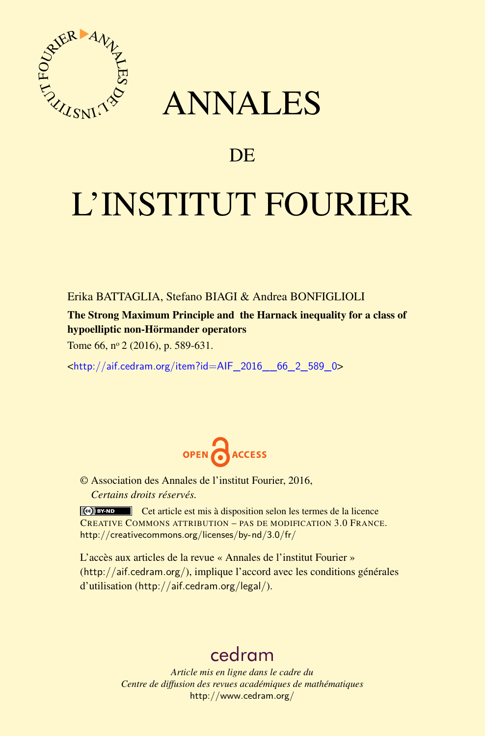

## ANNALES

## **DE**

# L'INSTITUT FOURIER

Erika BATTAGLIA, Stefano BIAGI & Andrea BONFIGLIOLI

The Strong Maximum Principle and the Harnack inequality for a class of hypoelliptic non-Hörmander operators

Tome 66, nº 2 (2016), p. 589-631.

<[http://aif.cedram.org/item?id=AIF\\_2016\\_\\_66\\_2\\_589\\_0](http://aif.cedram.org/item?id=AIF_2016__66_2_589_0)>



© Association des Annales de l'institut Fourier, 2016, *Certains droits réservés.*

Cet article est mis à disposition selon les termes de la licence CREATIVE COMMONS ATTRIBUTION – PAS DE MODIFICATION 3.0 FRANCE. <http://creativecommons.org/licenses/by-nd/3.0/fr/>

L'accès aux articles de la revue « Annales de l'institut Fourier » (<http://aif.cedram.org/>), implique l'accord avec les conditions générales d'utilisation (<http://aif.cedram.org/legal/>).

## [cedram](http://www.cedram.org/)

*Article mis en ligne dans le cadre du Centre de diffusion des revues académiques de mathématiques* <http://www.cedram.org/>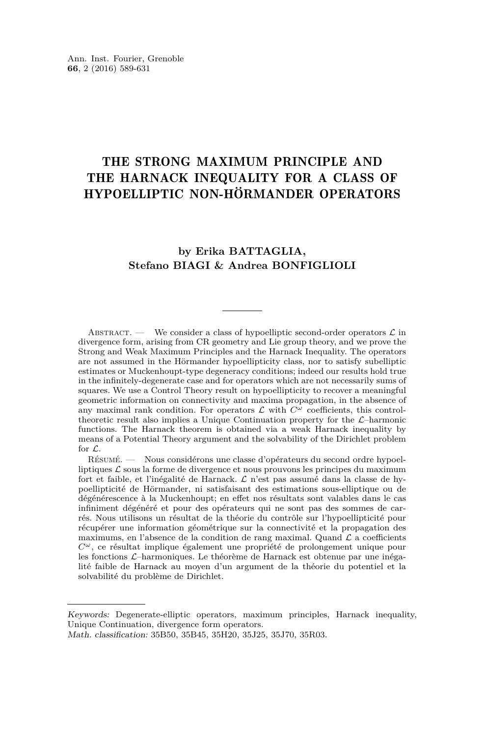### THE STRONG MAXIMUM PRINCIPLE AND THE HARNACK INEQUALITY FOR A CLASS OF HYPOELLIPTIC NON-HÖRMANDER OPERATORS

#### **by Erika BATTAGLIA, Stefano BIAGI & Andrea BONFIGLIOLI**

ABSTRACT. — We consider a class of hypoelliptic second-order operators  $\mathcal L$  in divergence form, arising from CR geometry and Lie group theory, and we prove the Strong and Weak Maximum Principles and the Harnack Inequality. The operators are not assumed in the Hörmander hypoellipticity class, nor to satisfy subelliptic estimates or Muckenhoupt-type degeneracy conditions; indeed our results hold true in the infinitely-degenerate case and for operators which are not necessarily sums of squares. We use a Control Theory result on hypoellipticity to recover a meaningful geometric information on connectivity and maxima propagation, in the absence of any maximal rank condition. For operators  $\mathcal L$  with  $C^{\omega}$  coefficients, this controltheoretic result also implies a Unique Continuation property for the  $\mathcal{L}-$ harmonic functions. The Harnack theorem is obtained via a weak Harnack inequality by means of a Potential Theory argument and the solvability of the Dirichlet problem for L.

Résumé. — Nous considérons une classe d'opérateurs du second ordre hypoelliptiques  $\mathcal L$  sous la forme de divergence et nous prouvons les principes du maximum fort et faible, et l'inégalité de Harnack. L n'est pas assumé dans la classe de hypoellipticité de Hörmander, ni satisfaisant des estimations sous-elliptique ou de dégénérescence à la Muckenhoupt; en effet nos résultats sont valables dans le cas infiniment dégénéré et pour des opérateurs qui ne sont pas des sommes de carrés. Nous utilisons un résultat de la théorie du contrôle sur l'hypoellipticité pour récupérer une information géométrique sur la connectivité et la propagation des maximums, en l'absence de la condition de rang maximal. Quand  $\mathcal L$  a coefficients *Cω*, ce résultat implique également une propriété de prolongement unique pour les fonctions L–harmoniques. Le théorème de Harnack est obtenue par une inégalité faible de Harnack au moyen d'un argument de la théorie du potentiel et la solvabilité du problème de Dirichlet.

Keywords: Degenerate-elliptic operators, maximum principles, Harnack inequality, Unique Continuation, divergence form operators.

Math. classification: 35B50, 35B45, 35H20, 35J25, 35J70, 35R03.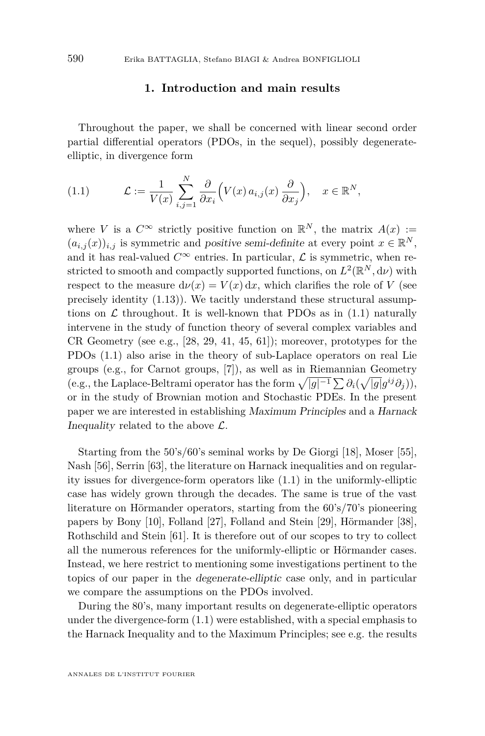#### **1. Introduction and main results**

Throughout the paper, we shall be concerned with linear second order partial differential operators (PDOs, in the sequel), possibly degenerateelliptic, in divergence form

<span id="page-2-0"></span>(1.1) 
$$
\mathcal{L} := \frac{1}{V(x)} \sum_{i,j=1}^N \frac{\partial}{\partial x_i} \left( V(x) a_{i,j}(x) \frac{\partial}{\partial x_j} \right), \quad x \in \mathbb{R}^N,
$$

where *V* is a  $C^{\infty}$  strictly positive function on  $\mathbb{R}^{N}$ , the matrix  $A(x) :=$  $(a_{i,j}(x))_{i,j}$  is symmetric and positive semi-definite at every point  $x \in \mathbb{R}^N$ , and it has real-valued  $C^{\infty}$  entries. In particular,  $\mathcal{L}$  is symmetric, when restricted to smooth and compactly supported functions, on  $L^2(\mathbb{R}^N, d\nu)$  with respect to the measure  $d\nu(x) = V(x) dx$ , which clarifies the role of *V* (see precisely identity [\(1.13\)](#page-14-0)). We tacitly understand these structural assumptions on  $\mathcal L$  throughout. It is well-known that PDOs as in [\(1.1\)](#page-2-0) naturally intervene in the study of function theory of several complex variables and CR Geometry (see e.g.,  $[28, 29, 41, 45, 61]$  $[28, 29, 41, 45, 61]$  $[28, 29, 41, 45, 61]$  $[28, 29, 41, 45, 61]$  $[28, 29, 41, 45, 61]$  $[28, 29, 41, 45, 61]$  $[28, 29, 41, 45, 61]$  $[28, 29, 41, 45, 61]$  $[28, 29, 41, 45, 61]$ ); moreover, prototypes for the PDOs [\(1.1\)](#page-2-0) also arise in the theory of sub-Laplace operators on real Lie groups (e.g., for Carnot groups, [\[7\]](#page-40-0)), as well as in Riemannian Geometry (e.g., the Laplace-Beltrami operator has the form  $\sqrt{|g|^{-1}} \sum \partial_i(\sqrt{|g|}g^{ij}\partial_j)$ ), or in the study of Brownian motion and Stochastic PDEs. In the present paper we are interested in establishing Maximum Principles and a Harnack Inequality related to the above  $\mathcal{L}$ .

Starting from the 50's/60's seminal works by De Giorgi [\[18\]](#page-40-1), Moser [\[55\]](#page-42-2), Nash [\[56\]](#page-42-3), Serrin [\[63\]](#page-42-4), the literature on Harnack inequalities and on regularity issues for divergence-form operators like [\(1.1\)](#page-2-0) in the uniformly-elliptic case has widely grown through the decades. The same is true of the vast literature on Hörmander operators, starting from the 60's/70's pioneering papers by Bony [\[10\]](#page-40-2), Folland [\[27\]](#page-41-3), Folland and Stein [\[29\]](#page-41-1), Hörmander [\[38\]](#page-41-4), Rothschild and Stein [\[61\]](#page-42-1). It is therefore out of our scopes to try to collect all the numerous references for the uniformly-elliptic or Hörmander cases. Instead, we here restrict to mentioning some investigations pertinent to the topics of our paper in the degenerate-elliptic case only, and in particular we compare the assumptions on the PDOs involved.

During the 80's, many important results on degenerate-elliptic operators under the divergence-form [\(1.1\)](#page-2-0) were established, with a special emphasis to the Harnack Inequality and to the Maximum Principles; see e.g. the results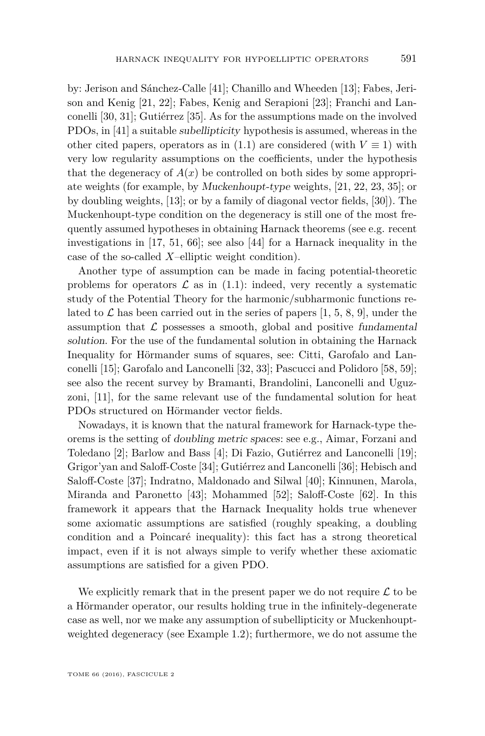by: Jerison and Sánchez-Calle [\[41\]](#page-41-2); Chanillo and Wheeden [\[13\]](#page-40-3); Fabes, Jerison and Kenig [\[21,](#page-40-4) [22\]](#page-40-5); Fabes, Kenig and Serapioni [\[23\]](#page-40-6); Franchi and Lanconelli [\[30,](#page-41-5) [31\]](#page-41-6); Gutiérrez [\[35\]](#page-41-7). As for the assumptions made on the involved PDOs, in [\[41\]](#page-41-2) a suitable subellipticity hypothesis is assumed, whereas in the other cited papers, operators as in [\(1.1\)](#page-2-0) are considered (with  $V \equiv 1$ ) with very low regularity assumptions on the coefficients, under the hypothesis that the degeneracy of  $A(x)$  be controlled on both sides by some appropriate weights (for example, by Muckenhoupt-type weights, [\[21,](#page-40-4) [22,](#page-40-5) [23,](#page-40-6) [35\]](#page-41-7); or by doubling weights, [\[13\]](#page-40-3); or by a family of diagonal vector fields, [\[30\]](#page-41-5)). The Muckenhoupt-type condition on the degeneracy is still one of the most frequently assumed hypotheses in obtaining Harnack theorems (see e.g. recent investigations in [\[17,](#page-40-7) [51,](#page-42-5) [66\]](#page-42-6); see also [\[44\]](#page-41-8) for a Harnack inequality in the case of the so-called *X*–elliptic weight condition).

Another type of assumption can be made in facing potential-theoretic problems for operators  $\mathcal L$  as in [\(1.1\)](#page-2-0): indeed, very recently a systematic study of the Potential Theory for the harmonic/subharmonic functions related to  $\mathcal L$  has been carried out in the series of papers [\[1,](#page-39-0) [5,](#page-39-1) [8,](#page-40-8) [9\]](#page-40-9), under the assumption that  $\mathcal L$  possesses a smooth, global and positive fundamental solution. For the use of the fundamental solution in obtaining the Harnack Inequality for Hörmander sums of squares, see: Citti, Garofalo and Lanconelli [\[15\]](#page-40-10); Garofalo and Lanconelli [\[32,](#page-41-9) [33\]](#page-41-10); Pascucci and Polidoro [\[58,](#page-42-7) [59\]](#page-42-8); see also the recent survey by Bramanti, Brandolini, Lanconelli and Uguzzoni, [\[11\]](#page-40-11), for the same relevant use of the fundamental solution for heat PDOs structured on Hörmander vector fields.

Nowadays, it is known that the natural framework for Harnack-type theorems is the setting of doubling metric spaces: see e.g., Aimar, Forzani and Toledano [\[2\]](#page-39-2); Barlow and Bass [\[4\]](#page-39-3); Di Fazio, Gutiérrez and Lanconelli [\[19\]](#page-40-12); Grigor'yan and Saloff-Coste [\[34\]](#page-41-11); Gutiérrez and Lanconelli [\[36\]](#page-41-12); Hebisch and Saloff-Coste [\[37\]](#page-41-13); Indratno, Maldonado and Silwal [\[40\]](#page-41-14); Kinnunen, Marola, Miranda and Paronetto [\[43\]](#page-41-15); Mohammed [\[52\]](#page-42-9); Saloff-Coste [\[62\]](#page-42-10). In this framework it appears that the Harnack Inequality holds true whenever some axiomatic assumptions are satisfied (roughly speaking, a doubling condition and a Poincaré inequality): this fact has a strong theoretical impact, even if it is not always simple to verify whether these axiomatic assumptions are satisfied for a given PDO.

We explicitly remark that in the present paper we do not require  $\mathcal L$  to be a Hörmander operator, our results holding true in the infinitely-degenerate case as well, nor we make any assumption of subellipticity or Muckenhouptweighted degeneracy (see Example [1.2\)](#page-7-0); furthermore, we do not assume the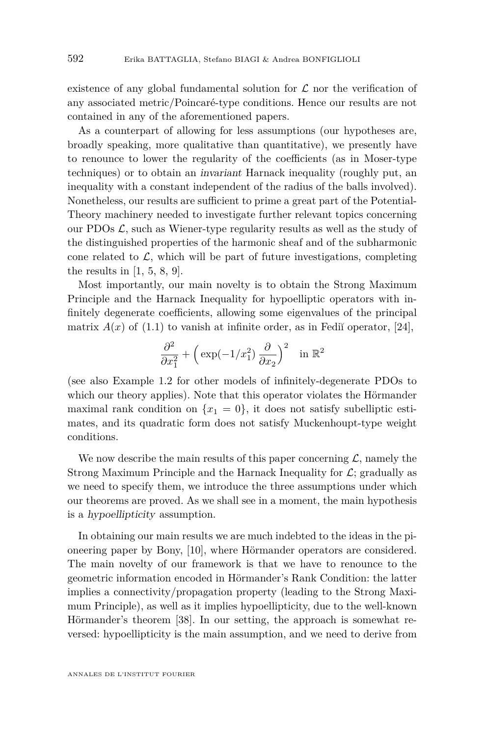existence of any global fundamental solution for  $\mathcal L$  nor the verification of any associated metric/Poincaré-type conditions. Hence our results are not contained in any of the aforementioned papers.

As a counterpart of allowing for less assumptions (our hypotheses are, broadly speaking, more qualitative than quantitative), we presently have to renounce to lower the regularity of the coefficients (as in Moser-type techniques) or to obtain an invariant Harnack inequality (roughly put, an inequality with a constant independent of the radius of the balls involved). Nonetheless, our results are sufficient to prime a great part of the Potential-Theory machinery needed to investigate further relevant topics concerning our PDOs  $\mathcal{L}$ , such as Wiener-type regularity results as well as the study of the distinguished properties of the harmonic sheaf and of the subharmonic cone related to  $\mathcal{L}$ , which will be part of future investigations, completing the results in  $[1, 5, 8, 9]$  $[1, 5, 8, 9]$  $[1, 5, 8, 9]$  $[1, 5, 8, 9]$  $[1, 5, 8, 9]$  $[1, 5, 8, 9]$  $[1, 5, 8, 9]$ .

Most importantly, our main novelty is to obtain the Strong Maximum Principle and the Harnack Inequality for hypoelliptic operators with infinitely degenerate coefficients, allowing some eigenvalues of the principal matrix  $A(x)$  of [\(1.1\)](#page-2-0) to vanish at infinite order, as in Fedi<sup>o</sup>n operator, [\[24\]](#page-40-13),

$$
\frac{\partial^2}{\partial x_1^2} + \left(\exp(-1/x_1^2)\frac{\partial}{\partial x_2}\right)^2 \quad \text{in } \mathbb{R}^2
$$

(see also Example [1.2](#page-7-0) for other models of infinitely-degenerate PDOs to which our theory applies). Note that this operator violates the Hörmander maximal rank condition on  $\{x_1 = 0\}$ , it does not satisfy subelliptic estimates, and its quadratic form does not satisfy Muckenhoupt-type weight conditions.

We now describe the main results of this paper concerning  $\mathcal{L}$ , namely the Strong Maximum Principle and the Harnack Inequality for  $\mathcal{L}$ ; gradually as we need to specify them, we introduce the three assumptions under which our theorems are proved. As we shall see in a moment, the main hypothesis is a hypoellipticity assumption.

In obtaining our main results we are much indebted to the ideas in the pioneering paper by Bony, [\[10\]](#page-40-2), where Hörmander operators are considered. The main novelty of our framework is that we have to renounce to the geometric information encoded in Hörmander's Rank Condition: the latter implies a connectivity/propagation property (leading to the Strong Maximum Principle), as well as it implies hypoellipticity, due to the well-known Hörmander's theorem [\[38\]](#page-41-4). In our setting, the approach is somewhat reversed: hypoellipticity is the main assumption, and we need to derive from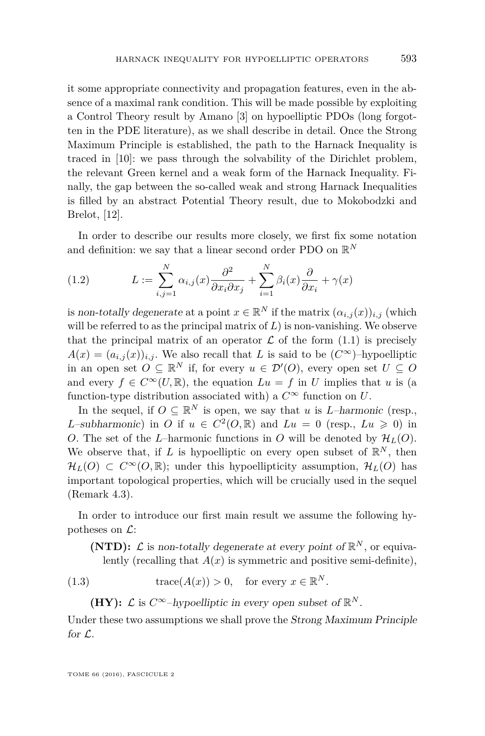it some appropriate connectivity and propagation features, even in the absence of a maximal rank condition. This will be made possible by exploiting a Control Theory result by Amano [\[3\]](#page-39-4) on hypoelliptic PDOs (long forgotten in the PDE literature), as we shall describe in detail. Once the Strong Maximum Principle is established, the path to the Harnack Inequality is traced in [\[10\]](#page-40-2): we pass through the solvability of the Dirichlet problem, the relevant Green kernel and a weak form of the Harnack Inequality. Finally, the gap between the so-called weak and strong Harnack Inequalities is filled by an abstract Potential Theory result, due to Mokobodzki and Brelot, [\[12\]](#page-40-14).

In order to describe our results more closely, we first fix some notation and definition: we say that a linear second order PDO on  $\mathbb{R}^N$ 

<span id="page-5-0"></span>(1.2) 
$$
L := \sum_{i,j=1}^{N} \alpha_{i,j}(x) \frac{\partial^2}{\partial x_i \partial x_j} + \sum_{i=1}^{N} \beta_i(x) \frac{\partial}{\partial x_i} + \gamma(x)
$$

is non-totally degenerate at a point  $x \in \mathbb{R}^N$  if the matrix  $(\alpha_{i,j}(x))_{i,j}$  (which will be referred to as the principal matrix of *L*) is non-vanishing. We observe that the principal matrix of an operator  $\mathcal L$  of the form  $(1.1)$  is precisely  $A(x) = (a_{i,j}(x))_{i,j}$ . We also recall that *L* is said to be  $(C^{\infty})$ –hypoelliptic in an open set  $O \subseteq \mathbb{R}^N$  if, for every  $u \in \mathcal{D}'(O)$ , every open set  $U \subseteq O$ and every  $f \in C^{\infty}(U,\mathbb{R})$ , the equation  $Lu = f$  in *U* implies that *u* is (a function-type distribution associated with) a  $C^{\infty}$  function on *U*.

In the sequel, if  $O \subseteq \mathbb{R}^N$  is open, we say that *u* is *L*–harmonic (resp., *L*–subharmonic) in *O* if  $u \in C^2(0, \mathbb{R})$  and  $Lu = 0$  (resp.,  $Lu \ge 0$ ) in *O*. The set of the *L*–harmonic functions in *O* will be denoted by  $\mathcal{H}_L(O)$ . We observe that, if *L* is hypoelliptic on every open subset of  $\mathbb{R}^N$ , then  $\mathcal{H}_L(O) \subset C^{\infty}(O,\mathbb{R})$ ; under this hypoellipticity assumption,  $\mathcal{H}_L(O)$  has important topological properties, which will be crucially used in the sequel (Remark [4.3\)](#page-31-0).

In order to introduce our first main result we assume the following hypotheses on  $\mathcal{L}$ :

**(NTD):**  $\mathcal{L}$  is non-totally degenerate at every point of  $\mathbb{R}^N$ , or equivalently (recalling that  $A(x)$  is symmetric and positive semi-definite),

(1.3) 
$$
\operatorname{trace}(A(x)) > 0, \quad \text{for every } x \in \mathbb{R}^N.
$$

(HY):  $\mathcal{L}$  is  $C^{\infty}$ -hypoelliptic in every open subset of  $\mathbb{R}^{N}$ .

Under these two assumptions we shall prove the Strong Maximum Principle for  $\mathcal{L}$ .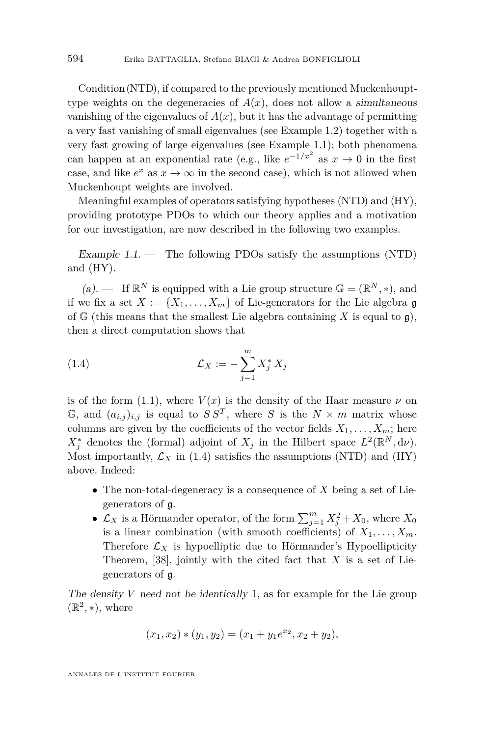Condition (NTD), if compared to the previously mentioned Muckenhoupttype weights on the degeneracies of  $A(x)$ , does not allow a simultaneous vanishing of the eigenvalues of  $A(x)$ , but it has the advantage of permitting a very fast vanishing of small eigenvalues (see Example [1.2\)](#page-7-0) together with a very fast growing of large eigenvalues (see Example [1.1\)](#page-6-0); both phenomena can happen at an exponential rate (e.g., like  $e^{-1/x^2}$  as  $x \to 0$  in the first case, and like  $e^x$  as  $x \to \infty$  in the second case), which is not allowed when Muckenhoupt weights are involved.

Meaningful examples of operators satisfying hypotheses (NTD) and (HY), providing prototype PDOs to which our theory applies and a motivation for our investigation, are now described in the following two examples.

<span id="page-6-0"></span>Example  $1.1.$  — The following PDOs satisfy the assumptions (NTD) and (HY).

(a).  $\quad$  If  $\mathbb{R}^N$  is equipped with a Lie group structure  $\mathbb{G} = (\mathbb{R}^N, *)$ , and if we fix a set  $X := \{X_1, \ldots, X_m\}$  of Lie-generators for the Lie algebra g of  $\mathbb{G}$  (this means that the smallest Lie algebra containing X is equal to  $\mathfrak{g}$ ), then a direct computation shows that

<span id="page-6-1"></span>(1.4) 
$$
\mathcal{L}_X := -\sum_{j=1}^m X_j^* X_j
$$

is of the form [\(1.1\)](#page-2-0), where  $V(x)$  is the density of the Haar measure  $\nu$  on  $\mathbb{G}$ , and  $(a_{i,j})_{i,j}$  is equal to  $SS^T$ , where *S* is the  $N \times m$  matrix whose columns are given by the coefficients of the vector fields  $X_1, \ldots, X_m$ ; here  $X_j^*$  denotes the (formal) adjoint of  $X_j$  in the Hilbert space  $L^2(\mathbb{R}^N, d\nu)$ . Most importantly,  $\mathcal{L}_X$  in [\(1.4\)](#page-6-1) satisfies the assumptions (NTD) and (HY) above. Indeed:

- The non-total-degeneracy is a consequence of *X* being a set of Liegenerators of g.
- $\mathcal{L}_X$  is a Hörmander operator, of the form  $\sum_{j=1}^m X_j^2 + X_0$ , where  $X_0$ is a linear combination (with smooth coefficients) of  $X_1, \ldots, X_m$ . Therefore  $\mathcal{L}_X$  is hypoelliptic due to Hörmander's Hypoellipticity Theorem,  $[38]$ , jointly with the cited fact that *X* is a set of Liegenerators of g.

The density *V* need not be identically 1, as for example for the Lie group  $(\mathbb{R}^2, *),$  where

$$
(x_1, x_2) * (y_1, y_2) = (x_1 + y_1 e^{x_2}, x_2 + y_2),
$$

ANNALES DE L'INSTITUT FOURIER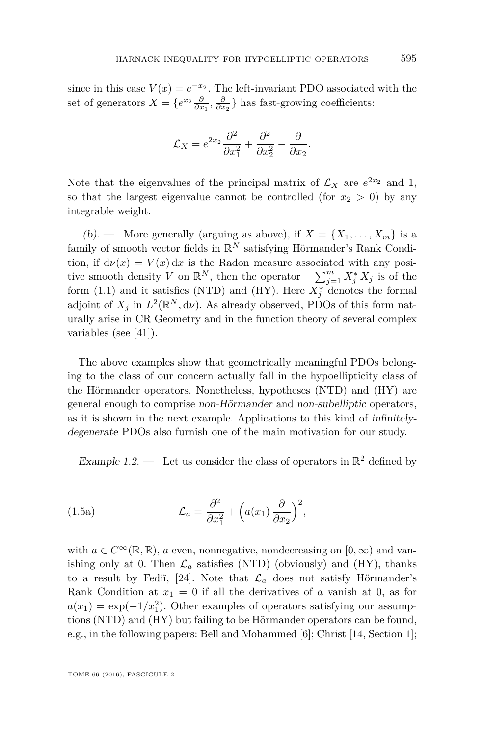since in this case  $V(x) = e^{-x^2}$ . The left-invariant PDO associated with the set of generators  $X = \{e^{x_2} \frac{\partial}{\partial x_1}, \frac{\partial}{\partial x_2}\}\$  has fast-growing coefficients:

$$
\mathcal{L}_X = e^{2x_2} \frac{\partial^2}{\partial x_1^2} + \frac{\partial^2}{\partial x_2^2} - \frac{\partial}{\partial x_2}.
$$

Note that the eigenvalues of the principal matrix of  $\mathcal{L}_X$  are  $e^{2x_2}$  and 1, so that the largest eigenvalue cannot be controlled (for  $x_2 > 0$ ) by any integrable weight.

(b). — More generally (arguing as above), if  $X = \{X_1, \ldots, X_m\}$  is a family of smooth vector fields in  $\mathbb{R}^N$  satisfying Hörmander's Rank Condition, if  $d\nu(x) = V(x) dx$  is the Radon measure associated with any positive smooth density *V* on  $\mathbb{R}^N$ , then the operator  $-\sum_{j=1}^m X_j^* X_j$  is of the form [\(1.1\)](#page-2-0) and it satisfies (NTD) and (HY). Here  $X_j^*$  denotes the formal adjoint of  $X_j$  in  $L^2(\mathbb{R}^N, d\nu)$ . As already observed, PDOs of this form naturally arise in CR Geometry and in the function theory of several complex variables (see [\[41\]](#page-41-2)).

The above examples show that geometrically meaningful PDOs belonging to the class of our concern actually fall in the hypoellipticity class of the Hörmander operators. Nonetheless, hypotheses (NTD) and (HY) are general enough to comprise non-Hörmander and non-subelliptic operators, as it is shown in the next example. Applications to this kind of infinitelydegenerate PDOs also furnish one of the main motivation for our study.

<span id="page-7-1"></span><span id="page-7-0"></span>Example 1.2.  $\qquad$  Let us consider the class of operators in  $\mathbb{R}^2$  defined by

(1.5a) 
$$
\mathcal{L}_a = \frac{\partial^2}{\partial x_1^2} + \left( a(x_1) \frac{\partial}{\partial x_2} \right)^2,
$$

with  $a \in C^{\infty}(\mathbb{R}, \mathbb{R})$ , *a* even, nonnegative, nondecreasing on  $[0, \infty)$  and vanishing only at 0. Then  $\mathcal{L}_a$  satisfies (NTD) (obviously) and (HY), thanks to a result by Fedi<sup> $\lceil 24 \rceil$ . Note that  $\mathcal{L}_a$  does not satisfy Hörmander's</sup> Rank Condition at  $x_1 = 0$  if all the derivatives of *a* vanish at 0, as for  $a(x_1) = \exp(-1/x_1^2)$ . Other examples of operators satisfying our assumptions (NTD) and (HY) but failing to be Hörmander operators can be found, e.g., in the following papers: Bell and Mohammed [\[6\]](#page-40-15); Christ [\[14,](#page-40-16) Section 1];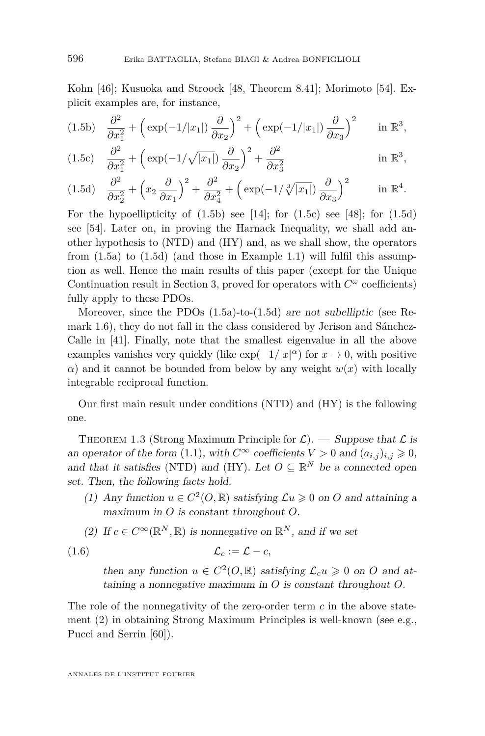Kohn [\[46\]](#page-42-11); Kusuoka and Stroock [\[48,](#page-42-12) Theorem 8.41]; Morimoto [\[54\]](#page-42-13). Explicit examples are, for instance,

<span id="page-8-0"></span>
$$
(1.5b) \quad \frac{\partial^2}{\partial x_1^2} + \left(\exp(-1/|x_1|) \frac{\partial}{\partial x_2}\right)^2 + \left(\exp(-1/|x_1|) \frac{\partial}{\partial x_3}\right)^2 \quad \text{in } \mathbb{R}^3,
$$

<span id="page-8-1"></span>(1.5c) 
$$
\frac{\partial^2}{\partial x_1^2} + \left( \exp(-1/\sqrt{|x_1|}) \frac{\partial}{\partial x_2} \right)^2 + \frac{\partial^2}{\partial x_3^2} \quad \text{in } \mathbb{R}^3,
$$

<span id="page-8-2"></span>
$$
(1.5d)\quad \frac{\partial^2}{\partial x_2^2} + \left(x_2 \frac{\partial}{\partial x_1}\right)^2 + \frac{\partial^2}{\partial x_4^2} + \left(\exp(-1/\sqrt[3]{|x_1|})\frac{\partial}{\partial x_3}\right)^2 \qquad \text{in } \mathbb{R}^4.
$$

For the hypoellipticity of  $(1.5b)$  see [\[14\]](#page-40-16); for  $(1.5c)$  see [\[48\]](#page-42-12); for  $(1.5d)$ see [\[54\]](#page-42-13). Later on, in proving the Harnack Inequality, we shall add another hypothesis to (NTD) and (HY) and, as we shall show, the operators from  $(1.5a)$  to  $(1.5d)$  (and those in Example [1.1\)](#page-6-0) will fulfil this assumption as well. Hence the main results of this paper (except for the Unique Continuation result in Section [3,](#page-25-0) proved for operators with  $C^{\omega}$  coefficients) fully apply to these PDOs.

Moreover, since the PDOs [\(1.5a\)](#page-7-1)-to-[\(1.5d\)](#page-8-2) are not subelliptic (see Remark [1.6\)](#page-11-0), they do not fall in the class considered by Jerison and Sánchez-Calle in [\[41\]](#page-41-2). Finally, note that the smallest eigenvalue in all the above examples vanishes very quickly (like  $\exp(-1/|x|^{\alpha})$  for  $x \to 0$ , with positive *α*) and it cannot be bounded from below by any weight  $w(x)$  with locally integrable reciprocal function.

Our first main result under conditions (NTD) and (HY) is the following one.

<span id="page-8-3"></span>THEOREM 1.3 (Strong Maximum Principle for  $\mathcal{L}$ ). — Suppose that  $\mathcal{L}$  is an operator of the form [\(1.1\)](#page-2-0), with  $C^{\infty}$  coefficients  $V > 0$  and  $(a_{i,j})_{i,j} \geq 0$ , and that it satisfies (NTD) and (HY). Let  $O \subseteq \mathbb{R}^N$  be a connected open set. Then, the following facts hold.

- (1) Any function  $u \in C^2(0, \mathbb{R})$  satisfying  $\mathcal{L}u \geq 0$  on O and attaining a maximum in *O* is constant throughout *O*.
- (2) If  $c \in C^{\infty}(\mathbb{R}^N, \mathbb{R})$  is nonnegative on  $\mathbb{R}^N$ , and if we set

$$
(1.6) \t\t \t\t \mathcal{L}_c := \mathcal{L} - c,
$$

then any function  $u \in C^2(O, \mathbb{R})$  satisfying  $\mathcal{L}_c u \geq 0$  on *O* and attaining a nonnegative maximum in *O* is constant throughout *O*.

The role of the nonnegativity of the zero-order term *c* in the above statement (2) in obtaining Strong Maximum Principles is well-known (see e.g., Pucci and Serrin [\[60\]](#page-42-14)).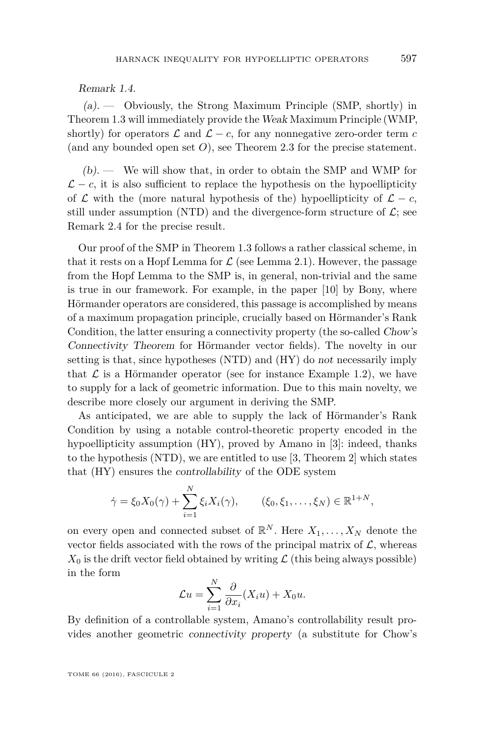#### Remark 1.4.

 $(a)$ . — Obviously, the Strong Maximum Principle (SMP, shortly) in Theorem [1.3](#page-8-3) will immediately provide the Weak Maximum Principle (WMP, shortly) for operators  $\mathcal L$  and  $\mathcal L - c$ , for any nonnegative zero-order term c (and any bounded open set *O*), see Theorem [2.3](#page-23-0) for the precise statement.

 $(b)$ . — We will show that, in order to obtain the SMP and WMP for  $\mathcal{L} - c$ , it is also sufficient to replace the hypothesis on the hypoellipticity of  $\mathcal L$  with the (more natural hypothesis of the) hypoellipticity of  $\mathcal L - c$ , still under assumption (NTD) and the divergence-form structure of  $\mathcal{L}$ ; see Remark [2.4](#page-25-1) for the precise result.

Our proof of the SMP in Theorem [1.3](#page-8-3) follows a rather classical scheme, in that it rests on a Hopf Lemma for  $\mathcal L$  (see Lemma [2.1\)](#page-19-0). However, the passage from the Hopf Lemma to the SMP is, in general, non-trivial and the same is true in our framework. For example, in the paper [\[10\]](#page-40-2) by Bony, where Hörmander operators are considered, this passage is accomplished by means of a maximum propagation principle, crucially based on Hörmander's Rank Condition, the latter ensuring a connectivity property (the so-called Chow's Connectivity Theorem for Hörmander vector fields). The novelty in our setting is that, since hypotheses (NTD) and (HY) do not necessarily imply that  $\mathcal L$  is a Hörmander operator (see for instance Example [1.2\)](#page-7-0), we have to supply for a lack of geometric information. Due to this main novelty, we describe more closely our argument in deriving the SMP.

As anticipated, we are able to supply the lack of Hörmander's Rank Condition by using a notable control-theoretic property encoded in the hypoellipticity assumption (HY), proved by Amano in [\[3\]](#page-39-4): indeed, thanks to the hypothesis (NTD), we are entitled to use [\[3,](#page-39-4) Theorem 2] which states that (HY) ensures the controllability of the ODE system

$$
\dot{\gamma} = \xi_0 X_0(\gamma) + \sum_{i=1}^N \xi_i X_i(\gamma), \qquad (\xi_0, \xi_1, \dots, \xi_N) \in \mathbb{R}^{1+N},
$$

*N*

on every open and connected subset of  $\mathbb{R}^N$ . Here  $X_1, \ldots, X_N$  denote the vector fields associated with the rows of the principal matrix of  $\mathcal{L}$ , whereas  $X_0$  is the drift vector field obtained by writing  $\mathcal L$  (this being always possible) in the form

$$
\mathcal{L}u = \sum_{i=1}^{N} \frac{\partial}{\partial x_i} (X_i u) + X_0 u.
$$

By definition of a controllable system, Amano's controllability result provides another geometric connectivity property (a substitute for Chow's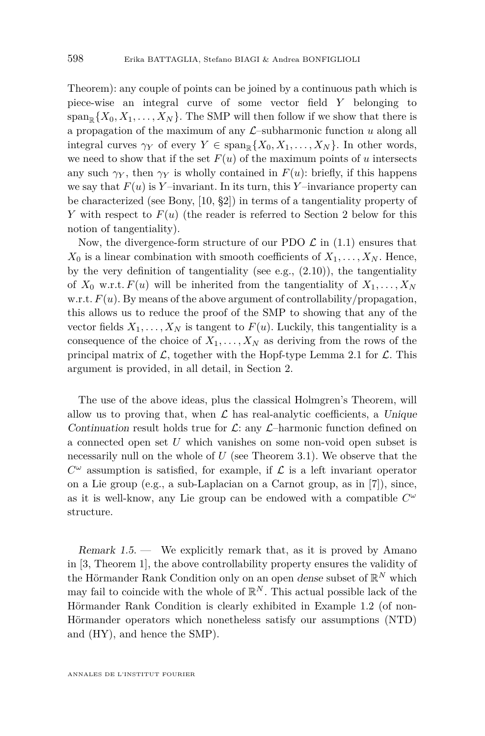Theorem): any couple of points can be joined by a continuous path which is piece-wise an integral curve of some vector field *Y* belonging to  $span_{\mathbb{R}}\{X_0, X_1, \ldots, X_N\}$ . The SMP will then follow if we show that there is a propagation of the maximum of any  $\mathcal{L}$ –subharmonic function *u* along all integral curves  $\gamma_Y$  of every  $Y \in \text{span}_{\mathbb{R}} \{X_0, X_1, \ldots, X_N\}$ . In other words, we need to show that if the set  $F(u)$  of the maximum points of *u* intersects any such  $\gamma_Y$ , then  $\gamma_Y$  is wholly contained in  $F(u)$ : briefly, if this happens we say that  $F(u)$  is Y-invariant. In its turn, this Y-invariance property can be characterized (see Bony, [\[10,](#page-40-2) §2]) in terms of a tangentiality property of *Y* with respect to  $F(u)$  (the reader is referred to Section [2](#page-19-1) below for this notion of tangentiality).

Now, the divergence-form structure of our PDO  $\mathcal{L}$  in [\(1.1\)](#page-2-0) ensures that  $X_0$  is a linear combination with smooth coefficients of  $X_1, \ldots, X_N$ . Hence, by the very definition of tangentiality (see e.g.,  $(2.10)$ ), the tangentiality of  $X_0$  w.r.t.  $F(u)$  will be inherited from the tangentiality of  $X_1, \ldots, X_N$ w.r.t.  $F(u)$ . By means of the above argument of controllability/propagation, this allows us to reduce the proof of the SMP to showing that any of the vector fields  $X_1, \ldots, X_N$  is tangent to  $F(u)$ . Luckily, this tangentiality is a consequence of the choice of  $X_1, \ldots, X_N$  as deriving from the rows of the principal matrix of  $\mathcal{L}$ , together with the Hopf-type Lemma [2.1](#page-19-0) for  $\mathcal{L}$ . This argument is provided, in all detail, in Section [2.](#page-19-1)

The use of the above ideas, plus the classical Holmgren's Theorem, will allow us to proving that, when  $\mathcal L$  has real-analytic coefficients, a Unique Continuation result holds true for  $\mathcal{L}$ : any  $\mathcal{L}$ -harmonic function defined on a connected open set *U* which vanishes on some non-void open subset is necessarily null on the whole of *U* (see Theorem [3.1\)](#page-25-2). We observe that the  $C^{\omega}$  assumption is satisfied, for example, if  $\mathcal L$  is a left invariant operator on a Lie group (e.g., a sub-Laplacian on a Carnot group, as in [\[7\]](#page-40-0)), since, as it is well-know, any Lie group can be endowed with a compatible *C ω* structure.

Remark  $1.5$  — We explicitly remark that, as it is proved by Amano in [\[3,](#page-39-4) Theorem 1], the above controllability property ensures the validity of the Hörmander Rank Condition only on an open *dense* subset of  $\mathbb{R}^N$  which may fail to coincide with the whole of  $\mathbb{R}^N$ . This actual possible lack of the Hörmander Rank Condition is clearly exhibited in Example [1.2](#page-7-0) (of non-Hörmander operators which nonetheless satisfy our assumptions (NTD) and (HY), and hence the SMP).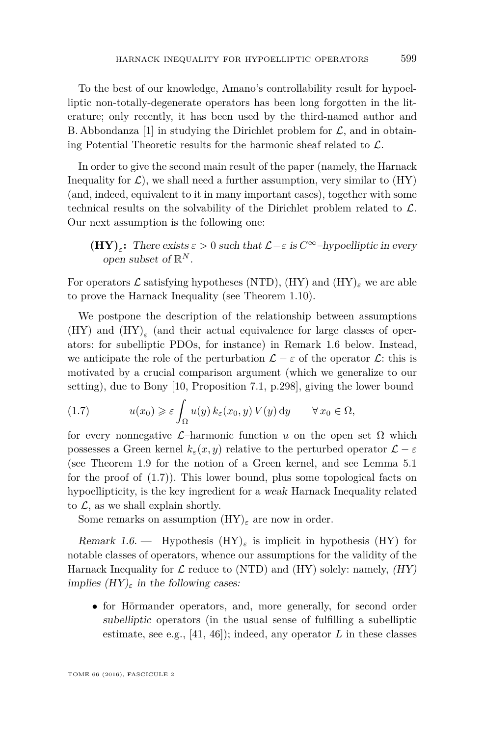To the best of our knowledge, Amano's controllability result for hypoelliptic non-totally-degenerate operators has been long forgotten in the literature; only recently, it has been used by the third-named author and B. Abbondanza [\[1\]](#page-39-0) in studying the Dirichlet problem for  $\mathcal{L}$ , and in obtaining Potential Theoretic results for the harmonic sheaf related to  $\mathcal{L}$ .

In order to give the second main result of the paper (namely, the Harnack Inequality for  $\mathcal{L}$ ), we shall need a further assumption, very similar to  $(HY)$ (and, indeed, equivalent to it in many important cases), together with some technical results on the solvability of the Dirichlet problem related to  $\mathcal{L}$ . Our next assumption is the following one:

**(HY)**<sub>*ε*</sub>: There exists  $\varepsilon > 0$  such that  $\mathcal{L} - \varepsilon$  is  $C^{\infty}$ -hypoelliptic in every open subset of R *N* .

For operators L satisfying hypotheses (NTD),  $(HY)$  and  $(HY)_{\varepsilon}$  we are able to prove the Harnack Inequality (see Theorem [1.10\)](#page-16-0).

We postpone the description of the relationship between assumptions  $(HY)$  and  $(HY)$ <sub>ε</sub> (and their actual equivalence for large classes of operators: for subelliptic PDOs, for instance) in Remark [1.6](#page-11-0) below. Instead, we anticipate the role of the perturbation  $\mathcal{L} - \varepsilon$  of the operator  $\mathcal{L}$ : this is motivated by a crucial comparison argument (which we generalize to our setting), due to Bony [\[10,](#page-40-2) Proposition 7.1, p.298], giving the lower bound

<span id="page-11-1"></span>(1.7) 
$$
u(x_0) \geq \varepsilon \int_{\Omega} u(y) k_{\varepsilon}(x_0, y) V(y) dy \qquad \forall x_0 \in \Omega,
$$

for every nonnegative  $\mathcal{L}$ –harmonic function *u* on the open set  $\Omega$  which possesses a Green kernel  $k_{\varepsilon}(x, y)$  relative to the perturbed operator  $\mathcal{L} - \varepsilon$ (see Theorem [1.9](#page-14-1) for the notion of a Green kernel, and see Lemma [5.1](#page-36-0) for the proof of [\(1.7\)](#page-11-1)). This lower bound, plus some topological facts on hypoellipticity, is the key ingredient for a weak Harnack Inequality related to  $\mathcal{L}$ , as we shall explain shortly.

Some remarks on assumption (HY)*<sup>ε</sup>* are now in order.

<span id="page-11-0"></span>Remark 1.6. — Hypothesis (HY)*<sup>ε</sup>* is implicit in hypothesis (HY) for notable classes of operators, whence our assumptions for the validity of the Harnack Inequality for  $\mathcal L$  reduce to (NTD) and (HY) solely: namely,  $(HY)$ implies  $(HY)_{\varepsilon}$  in the following cases:

• for Hörmander operators, and, more generally, for second order subelliptic operators (in the usual sense of fulfilling a subelliptic estimate, see e.g.,  $[41, 46]$  $[41, 46]$  $[41, 46]$ ; indeed, any operator *L* in these classes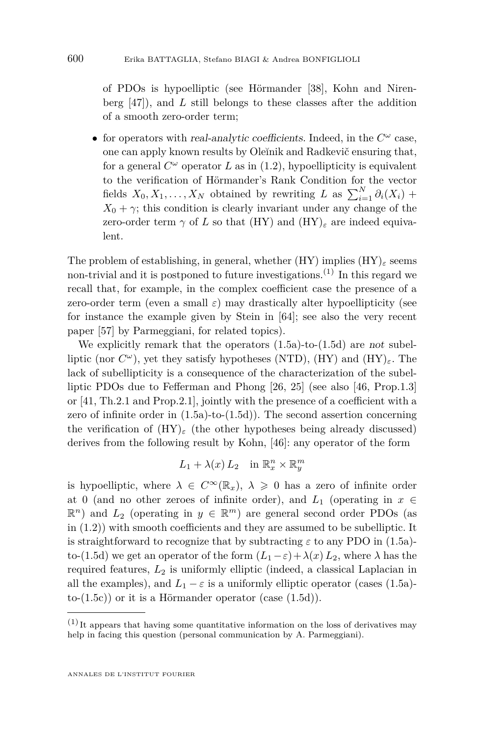of PDOs is hypoelliptic (see Hörmander [\[38\]](#page-41-4), Kohn and Nirenberg [\[47\]](#page-42-15)), and *L* still belongs to these classes after the addition of a smooth zero-order term;

• for operators with *real-analytic coefficients*. Indeed, in the  $C^{\omega}$  case, one can apply known results by Ole˘ınik and Radkevič ensuring that, for a general  $C^{\omega}$  operator  $L$  as in  $(1.2)$ , hypoellipticity is equivalent to the verification of Hörmander's Rank Condition for the vector fields  $X_0, X_1, \ldots, X_N$  obtained by rewriting *L* as  $\sum_{i=1}^N \partial_i(X_i)$  +  $X_0 + \gamma$ ; this condition is clearly invariant under any change of the zero-order term  $\gamma$  of *L* so that (HY) and (HY)<sub> $\epsilon$ </sub> are indeed equivalent.

The problem of establishing, in general, whether  $(HY)$  implies  $(HY)$ <sub>*ε*</sub> seems non-trivial and it is postponed to future investigations.<sup>(1)</sup> In this regard we recall that, for example, in the complex coefficient case the presence of a zero-order term (even a small  $\varepsilon$ ) may drastically alter hypoellipticity (see for instance the example given by Stein in [\[64\]](#page-42-16); see also the very recent paper [\[57\]](#page-42-17) by Parmeggiani, for related topics).

We explicitly remark that the operators [\(1.5a\)](#page-7-1)-to-[\(1.5d\)](#page-8-2) are not subelliptic (nor *C <sup>ω</sup>*), yet they satisfy hypotheses (NTD), (HY) and (HY)*ε*. The lack of subellipticity is a consequence of the characterization of the subelliptic PDOs due to Fefferman and Phong [\[26,](#page-41-16) [25\]](#page-41-17) (see also [\[46,](#page-42-11) Prop.1.3] or [\[41,](#page-41-2) Th.2.1 and Prop.2.1], jointly with the presence of a coefficient with a zero of infinite order in [\(1.5a\)](#page-7-1)-to-[\(1.5d\)](#page-8-2)). The second assertion concerning the verification of  $(HY)_{\varepsilon}$  (the other hypotheses being already discussed) derives from the following result by Kohn, [\[46\]](#page-42-11): any operator of the form

$$
L_1 + \lambda(x) L_2 \quad \text{in } \mathbb{R}^n_x \times \mathbb{R}^m_y
$$

is hypoelliptic, where  $\lambda \in C^{\infty}(\mathbb{R}_x)$ ,  $\lambda \geq 0$  has a zero of infinite order at 0 (and no other zeroes of infinite order), and  $L_1$  (operating in  $x \in$  $\mathbb{R}^n$ ) and  $L_2$  (operating in  $y \in \mathbb{R}^m$ ) are general second order PDOs (as in [\(1.2\)](#page-5-0)) with smooth coefficients and they are assumed to be subelliptic. It is straightforward to recognize that by subtracting  $\varepsilon$  to any PDO in [\(1.5a\)](#page-7-1)-to-[\(1.5d\)](#page-8-2) we get an operator of the form  $(L_1 - \varepsilon) + \lambda(x) L_2$ , where  $\lambda$  has the required features, *L*<sup>2</sup> is uniformly elliptic (indeed, a classical Laplacian in all the examples), and  $L_1 - \varepsilon$  is a uniformly elliptic operator (cases [\(1.5a\)](#page-7-1)- $to-(1.5c)$  $to-(1.5c)$  or it is a Hörmander operator (case  $(1.5d)$ ).

 $(1)$  It appears that having some quantitative information on the loss of derivatives may help in facing this question (personal communication by A. Parmeggiani).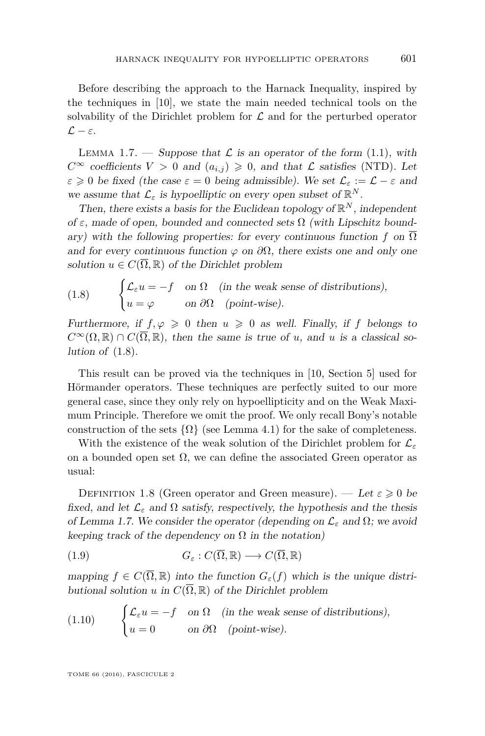Before describing the approach to the Harnack Inequality, inspired by the techniques in [\[10\]](#page-40-2), we state the main needed technical tools on the solvability of the Dirichlet problem for  $\mathcal L$  and for the perturbed operator  $\mathcal{L} - \varepsilon$ .

<span id="page-13-1"></span>LEMMA 1.7. — Suppose that  $\mathcal L$  is an operator of the form [\(1.1\)](#page-2-0), with  $C^{\infty}$  coefficients  $V > 0$  and  $(a_{i,j}) \geq 0$ , and that  $\mathcal L$  satisfies (NTD). Let  $\varepsilon \geq 0$  be fixed (the case  $\varepsilon = 0$  being admissible). We set  $\mathcal{L}_{\varepsilon} := \mathcal{L} - \varepsilon$  and we assume that  $\mathcal{L}_{\varepsilon}$  is hypoelliptic on every open subset of  $\mathbb{R}^{N}$ .

Then, there exists a basis for the Euclidean topology of  $\mathbb{R}^N$ , independent of  $\varepsilon$ , made of open, bounded and connected sets  $\Omega$  (with Lipschitz boundary) with the following properties: for every continuous function *f* on  $\overline{\Omega}$ and for every continuous function  $\varphi$  on  $\partial\Omega$ , there exists one and only one solution  $u \in C(\overline{\Omega}, \mathbb{R})$  of the Dirichlet problem

<span id="page-13-0"></span>(1.8) 
$$
\begin{cases} \mathcal{L}_{\varepsilon}u = -f & \text{on } \Omega \\ u = \varphi & \text{on } \partial\Omega \end{cases}
$$
 (in the weak sense of distributions),

Furthermore, if  $f, \varphi \geq 0$  then  $u \geq 0$  as well. Finally, if f belongs to  $C^{\infty}(\Omega,\mathbb{R}) \cap C(\overline{\Omega},\mathbb{R})$ , then the same is true of *u*, and *u* is a classical solution of  $(1.8)$ .

This result can be proved via the techniques in [\[10,](#page-40-2) Section 5] used for Hörmander operators. These techniques are perfectly suited to our more general case, since they only rely on hypoellipticity and on the Weak Maximum Principle. Therefore we omit the proof. We only recall Bony's notable construction of the sets  $\{\Omega\}$  (see Lemma [4.1\)](#page-27-0) for the sake of completeness.

With the existence of the weak solution of the Dirichlet problem for L*<sup>ε</sup>* on a bounded open set  $\Omega$ , we can define the associated Green operator as usual:

<span id="page-13-2"></span>DEFINITION 1.8 (Green operator and Green measure). — Let  $\varepsilon \geqslant 0$  be fixed, and let  $\mathcal{L}_{\varepsilon}$  and  $\Omega$  satisfy, respectively, the hypothesis and the thesis of Lemma [1.7.](#page-13-1) We consider the operator (depending on  $\mathcal{L}_{\varepsilon}$  and  $\Omega$ ; we avoid keeping track of the dependency on  $\Omega$  in the notation)

(1.9) 
$$
G_{\varepsilon}: C(\overline{\Omega}, \mathbb{R}) \longrightarrow C(\overline{\Omega}, \mathbb{R})
$$

mapping  $f \in C(\overline{\Omega}, \mathbb{R})$  into the function  $G_{\varepsilon}(f)$  which is the unique distributional solution *u* in  $C(\overline{\Omega}, \mathbb{R})$  of the Dirichlet problem

(1.10) 
$$
\begin{cases} \mathcal{L}_{\varepsilon}u = -f & \text{on } \Omega \quad (\text{in the weak sense of distributions}), \\ u = 0 & \text{on } \partial\Omega \quad (\text{point-wise}). \end{cases}
$$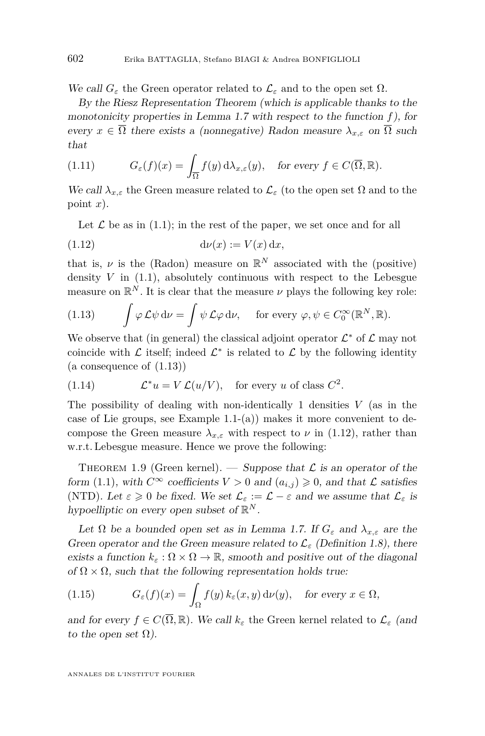We call  $G_{\varepsilon}$  the Green operator related to  $\mathcal{L}_{\varepsilon}$  and to the open set  $\Omega$ .

By the Riesz Representation Theorem (which is applicable thanks to the monotonicity properties in Lemma [1.7](#page-13-1) with respect to the function *f*), for every  $x \in \overline{\Omega}$  there exists a (nonnegative) Radon measure  $\lambda_{x,\varepsilon}$  on  $\overline{\Omega}$  such that

(1.11) 
$$
G_{\varepsilon}(f)(x) = \int_{\overline{\Omega}} f(y) d\lambda_{x,\varepsilon}(y), \text{ for every } f \in C(\overline{\Omega}, \mathbb{R}).
$$

We call  $\lambda_{x,\varepsilon}$  the Green measure related to  $\mathcal{L}_{\varepsilon}$  (to the open set  $\Omega$  and to the point *x*).

<span id="page-14-2"></span>Let  $\mathcal L$  be as in [\(1.1\)](#page-2-0); in the rest of the paper, we set once and for all

$$
(1.12)\qquad \qquad \mathrm{d}\nu(x) := V(x)\,\mathrm{d}x,
$$

that is,  $\nu$  is the (Radon) measure on  $\mathbb{R}^N$  associated with the (positive) density  $V$  in  $(1.1)$ , absolutely continuous with respect to the Lebesgue measure on  $\mathbb{R}^N$ . It is clear that the measure  $\nu$  plays the following key role:

<span id="page-14-0"></span>(1.13) 
$$
\int \varphi \mathcal{L} \psi \, d\nu = \int \psi \mathcal{L} \varphi \, d\nu, \quad \text{for every } \varphi, \psi \in C_0^{\infty}(\mathbb{R}^N, \mathbb{R}).
$$

We observe that (in general) the classical adjoint operator  $\mathcal{L}^*$  of  $\mathcal{L}$  may not coincide with  $\mathcal L$  itself; indeed  $\mathcal L^*$  is related to  $\mathcal L$  by the following identity  $(a \text{ consequence of } (1.13))$  $(a \text{ consequence of } (1.13))$  $(a \text{ consequence of } (1.13))$ 

<span id="page-14-4"></span>(1.14) 
$$
\mathcal{L}^* u = V \mathcal{L}(u/V), \text{ for every } u \text{ of class } C^2.
$$

The possibility of dealing with non-identically 1 densities *V* (as in the case of Lie groups, see Example  $1.1-(a)$  $1.1-(a)$  makes it more convenient to decompose the Green measure  $\lambda_{x,\varepsilon}$  with respect to  $\nu$  in [\(1.12\)](#page-14-2), rather than w.r.t. Lebesgue measure. Hence we prove the following:

<span id="page-14-1"></span>THEOREM 1.9 (Green kernel). — Suppose that  $\mathcal L$  is an operator of the form [\(1.1\)](#page-2-0), with  $C^{\infty}$  coefficients  $V > 0$  and  $(a_{i,j}) \geq 0$ , and that  $\mathcal L$  satisfies (NTD). Let  $\varepsilon \geq 0$  be fixed. We set  $\mathcal{L}_{\varepsilon} := \mathcal{L} - \varepsilon$  and we assume that  $\mathcal{L}_{\varepsilon}$  is hypoelliptic on every open subset of  $\mathbb{R}^N$ .

Let  $\Omega$  be a bounded open set as in Lemma [1.7.](#page-13-1) If  $G_{\varepsilon}$  and  $\lambda_{x,\varepsilon}$  are the Green operator and the Green measure related to  $\mathcal{L}_{\varepsilon}$  (Definition [1.8\)](#page-13-2), there exists a function  $k_{\varepsilon}: \Omega \times \Omega \to \mathbb{R}$ , smooth and positive out of the diagonal of  $\Omega \times \Omega$ , such that the following representation holds true:

<span id="page-14-3"></span>(1.15) 
$$
G_{\varepsilon}(f)(x) = \int_{\Omega} f(y) k_{\varepsilon}(x, y) d\nu(y), \text{ for every } x \in \Omega,
$$

and for every  $f \in C(\overline{\Omega}, \mathbb{R})$ . We call  $k_{\varepsilon}$  the Green kernel related to  $\mathcal{L}_{\varepsilon}$  (and to the open set  $\Omega$ ).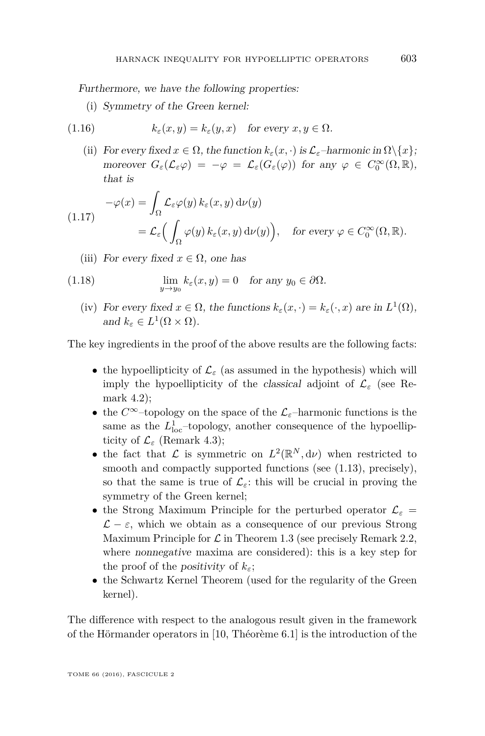Furthermore, we have the following properties:

<span id="page-15-0"></span>(i) Symmetry of the Green kernel:

(1.16) 
$$
k_{\varepsilon}(x, y) = k_{\varepsilon}(y, x) \text{ for every } x, y \in \Omega.
$$

(ii) For every fixed  $x \in \Omega$ , the function  $k_{\varepsilon}(x, \cdot)$  is  $\mathcal{L}_{\varepsilon}$ -harmonic in  $\Omega \setminus \{x\}$ ; moreover  $G_{\varepsilon}(\mathcal{L}_{\varepsilon}\varphi) = -\varphi = \mathcal{L}_{\varepsilon}(G_{\varepsilon}(\varphi))$  for any  $\varphi \in C_0^{\infty}(\Omega, \mathbb{R}),$ that is

<span id="page-15-1"></span>
$$
-\varphi(x) = \int_{\Omega} \mathcal{L}_{\varepsilon} \varphi(y) \, k_{\varepsilon}(x, y) \, \mathrm{d}\nu(y)
$$
  

$$
= \mathcal{L}_{\varepsilon} \Big( \int_{\Omega} \varphi(y) \, k_{\varepsilon}(x, y) \, \mathrm{d}\nu(y) \Big), \quad \text{for every } \varphi \in C_0^{\infty}(\Omega, \mathbb{R}).
$$

<span id="page-15-2"></span>(iii) For every fixed  $x \in \Omega$ , one has

(1.18) 
$$
\lim_{y \to y_0} k_{\varepsilon}(x, y) = 0 \text{ for any } y_0 \in \partial \Omega.
$$

(iv) For every fixed  $x \in \Omega$ , the functions  $k_{\varepsilon}(x, \cdot) = k_{\varepsilon}(\cdot, x)$  are in  $L^1(\Omega)$ , and  $k_{\varepsilon} \in L^1(\Omega \times \Omega)$ .

The key ingredients in the proof of the above results are the following facts:

- the hypoellipticity of  $\mathcal{L}_{\varepsilon}$  (as assumed in the hypothesis) which will imply the hypoellipticity of the classical adjoint of  $\mathcal{L}_{\varepsilon}$  (see Remark [4.2\)](#page-28-0);
- the  $C^{\infty}$ -topology on the space of the  $\mathcal{L}_{\varepsilon}$ -harmonic functions is the same as the  $L_{\text{loc}}^1$ -topology, another consequence of the hypoellipticity of  $\mathcal{L}_{\varepsilon}$  (Remark [4.3\)](#page-31-0);
- the fact that  $\mathcal{L}$  is symmetric on  $L^2(\mathbb{R}^N, d\nu)$  when restricted to smooth and compactly supported functions (see  $(1.13)$ , precisely), so that the same is true of  $\mathcal{L}_{\varepsilon}$ : this will be crucial in proving the symmetry of the Green kernel;
- the Strong Maximum Principle for the perturbed operator  $\mathcal{L}_{\varepsilon} =$  $\mathcal{L} - \varepsilon$ , which we obtain as a consequence of our previous Strong Maximum Principle for  $\mathcal L$  in Theorem [1.3](#page-8-3) (see precisely Remark [2.2,](#page-23-1) where nonnegative maxima are considered): this is a key step for the proof of the *positivity* of  $k_{\varepsilon}$ ;
- the Schwartz Kernel Theorem (used for the regularity of the Green kernel).

The difference with respect to the analogous result given in the framework of the Hörmander operators in [\[10,](#page-40-2) Théorème 6.1] is the introduction of the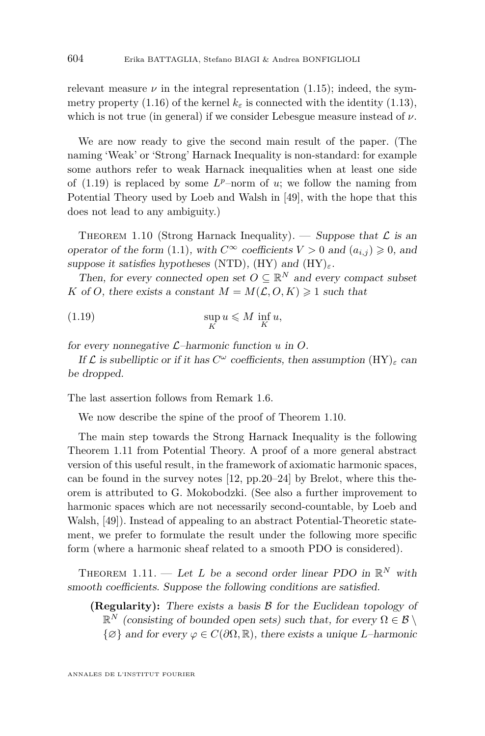relevant measure  $\nu$  in the integral representation  $(1.15)$ ; indeed, the sym-metry property [\(1.16\)](#page-15-0) of the kernel  $k_{\varepsilon}$  is connected with the identity [\(1.13\)](#page-14-0), which is not true (in general) if we consider Lebesgue measure instead of  $\nu$ .

We are now ready to give the second main result of the paper. (The naming 'Weak' or 'Strong' Harnack Inequality is non-standard: for example some authors refer to weak Harnack inequalities when at least one side of  $(1.19)$  is replaced by some  $L^p$ –norm of *u*; we follow the naming from Potential Theory used by Loeb and Walsh in [\[49\]](#page-42-18), with the hope that this does not lead to any ambiguity.)

<span id="page-16-0"></span>THEOREM 1.10 (Strong Harnack Inequality). — Suppose that  $\mathcal L$  is an operator of the form [\(1.1\)](#page-2-0), with  $C^{\infty}$  coefficients  $V > 0$  and  $(a_{i,j}) \geq 0$ , and suppose it satisfies hypotheses (NTD), (HY) and (HY)*ε*.

Then, for every connected open set  $O \subseteq \mathbb{R}^N$  and every compact subset *K* of *O*, there exists a constant  $M = M(\mathcal{L}, O, K) \geq 1$  such that

<span id="page-16-1"></span>(1.19) 
$$
\sup_{K} u \leqslant M \inf_{K} u,
$$

for every nonnegative L–harmonic function *u* in *O*.

If  $\mathcal L$  is subelliptic or if it has  $C^{\omega}$  coefficients, then assumption  $(\mathrm{HY})_{\varepsilon}$  can be dropped.

The last assertion follows from Remark [1.6.](#page-11-0)

We now describe the spine of the proof of Theorem [1.10.](#page-16-0)

The main step towards the Strong Harnack Inequality is the following Theorem [1.11](#page-16-2) from Potential Theory. A proof of a more general abstract version of this useful result, in the framework of axiomatic harmonic spaces, can be found in the survey notes [\[12,](#page-40-14) pp.20–24] by Brelot, where this theorem is attributed to G. Mokobodzki. (See also a further improvement to harmonic spaces which are not necessarily second-countable, by Loeb and Walsh, [\[49\]](#page-42-18)). Instead of appealing to an abstract Potential-Theoretic statement, we prefer to formulate the result under the following more specific form (where a harmonic sheaf related to a smooth PDO is considered).

<span id="page-16-2"></span>THEOREM 1.11. — Let L be a second order linear PDO in  $\mathbb{R}^N$  with smooth coefficients. Suppose the following conditions are satisfied.

**(Regularity):** There exists a basis B for the Euclidean topology of  $\mathbb{R}^N$  (consisting of bounded open sets) such that, for every  $\Omega \in \mathcal{B} \setminus \mathcal{B}$  $\{\emptyset\}$  and for every  $\varphi \in C(\partial\Omega,\mathbb{R})$ , there exists a unique *L*–harmonic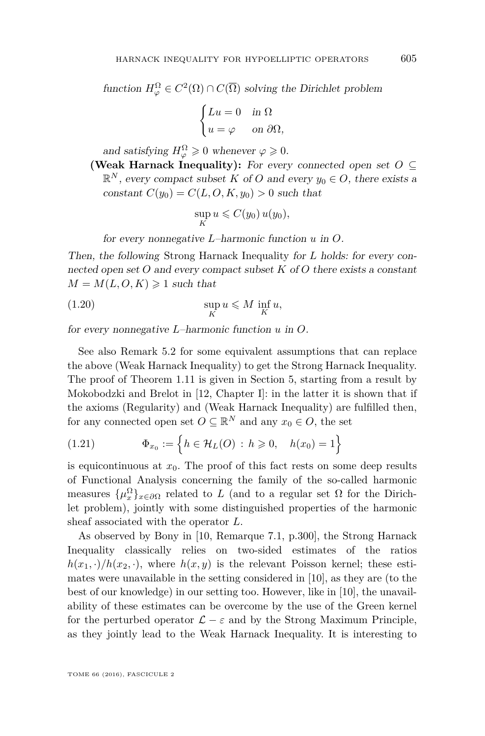function  $H_{\varphi}^{\Omega} \in C^2(\Omega) \cap C(\overline{\Omega})$  solving the Dirichlet problem

$$
\begin{cases} Lu = 0 & \text{in } \Omega \\ u = \varphi & \text{on } \partial \Omega, \end{cases}
$$

and satisfying  $H_{\varphi}^{\Omega} \geq 0$  whenever  $\varphi \geq 0$ .

(Weak Harnack Inequality): For every connected open set  $O \subseteq$  $\mathbb{R}^N$ , every compact subset *K* of *O* and every  $y_0 \in O$ , there exists a constant  $C(y_0) = C(L, O, K, y_0) > 0$  such that

<span id="page-17-1"></span>
$$
\sup_K u \leqslant C(y_0) u(y_0),
$$

for every nonnegative *L*–harmonic function *u* in *O*.

Then, the following Strong Harnack Inequality for *L* holds: for every connected open set *O* and every compact subset *K* of *O* there exists a constant  $M = M(L, O, K) \geq 1$  such that

(1.20) 
$$
\sup_{K} u \leqslant M \inf_{K} u,
$$

for every nonnegative *L*–harmonic function *u* in *O*.

See also Remark [5.2](#page-39-5) for some equivalent assumptions that can replace the above (Weak Harnack Inequality) to get the Strong Harnack Inequality. The proof of Theorem [1.11](#page-16-2) is given in Section [5,](#page-36-1) starting from a result by Mokobodzki and Brelot in [\[12,](#page-40-14) Chapter I]: in the latter it is shown that if the axioms (Regularity) and (Weak Harnack Inequality) are fulfilled then, for any connected open set  $O \subseteq \mathbb{R}^N$  and any  $x_0 \in O$ , the set

<span id="page-17-0"></span>(1.21) 
$$
\Phi_{x_0} := \left\{ h \in \mathcal{H}_L(O) : h \geq 0, \quad h(x_0) = 1 \right\}
$$

is equicontinuous at  $x_0$ . The proof of this fact rests on some deep results of Functional Analysis concerning the family of the so-called harmonic measures  $\{\mu_x^{\Omega}\}_{x \in \partial\Omega}$  related to *L* (and to a regular set  $\Omega$  for the Dirichlet problem), jointly with some distinguished properties of the harmonic sheaf associated with the operator *L*.

As observed by Bony in [\[10,](#page-40-2) Remarque 7.1, p.300], the Strong Harnack Inequality classically relies on two-sided estimates of the ratios  $h(x_1, \cdot)/h(x_2, \cdot)$ , where  $h(x, y)$  is the relevant Poisson kernel; these estimates were unavailable in the setting considered in [\[10\]](#page-40-2), as they are (to the best of our knowledge) in our setting too. However, like in [\[10\]](#page-40-2), the unavailability of these estimates can be overcome by the use of the Green kernel for the perturbed operator  $\mathcal{L} - \varepsilon$  and by the Strong Maximum Principle, as they jointly lead to the Weak Harnack Inequality. It is interesting to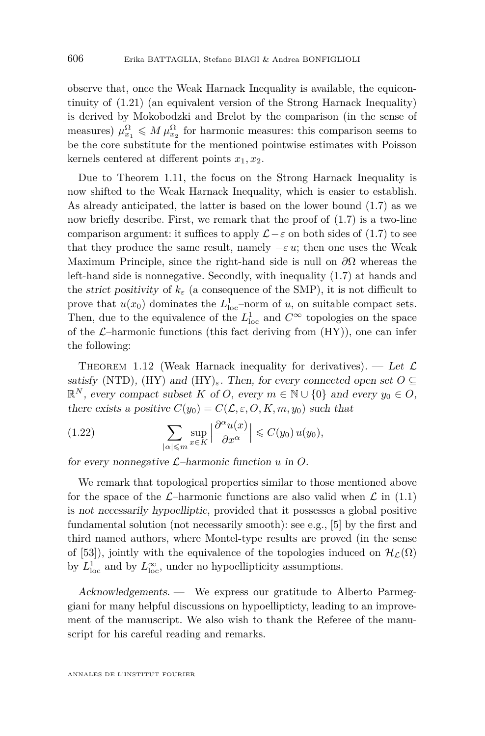observe that, once the Weak Harnack Inequality is available, the equicontinuity of [\(1.21\)](#page-17-0) (an equivalent version of the Strong Harnack Inequality) is derived by Mokobodzki and Brelot by the comparison (in the sense of measures)  $\mu_{x_1}^{\Omega} \leq M \mu_{x_2}^{\Omega}$  for harmonic measures: this comparison seems to be the core substitute for the mentioned pointwise estimates with Poisson kernels centered at different points  $x_1, x_2$ .

Due to Theorem [1.11,](#page-16-2) the focus on the Strong Harnack Inequality is now shifted to the Weak Harnack Inequality, which is easier to establish. As already anticipated, the latter is based on the lower bound [\(1.7\)](#page-11-1) as we now briefly describe. First, we remark that the proof of [\(1.7\)](#page-11-1) is a two-line comparison argument: it suffices to apply  $\mathcal{L} - \varepsilon$  on both sides of [\(1.7\)](#page-11-1) to see that they produce the same result, namely  $-\varepsilon u$ ; then one uses the Weak Maximum Principle, since the right-hand side is null on *∂*Ω whereas the left-hand side is nonnegative. Secondly, with inequality [\(1.7\)](#page-11-1) at hands and the *strict positivity* of  $k_{\varepsilon}$  (a consequence of the SMP), it is not difficult to prove that  $u(x_0)$  dominates the  $L^1_{loc}$ -norm of *u*, on suitable compact sets. Then, due to the equivalence of the  $L^1_{\text{loc}}$  and  $C^{\infty}$  topologies on the space of the  $\mathcal{L}$ -harmonic functions (this fact deriving from  $(HY)$ ), one can infer the following:

<span id="page-18-0"></span>THEOREM 1.12 (Weak Harnack inequality for derivatives). — Let  $\mathcal{L}$ satisfy (NTD), (HY) and (HY)<sub>ε</sub>. Then, for every connected open set  $O \subseteq$  $\mathbb{R}^N$ , every compact subset *K* of *O*, every  $m \in \mathbb{N} \cup \{0\}$  and every  $y_0 \in O$ , there exists a positive  $C(y_0) = C(\mathcal{L}, \varepsilon, O, K, m, y_0)$  such that

<span id="page-18-1"></span>(1.22) 
$$
\sum_{|\alpha| \leqslant m} \sup_{x \in K} \left| \frac{\partial^{\alpha} u(x)}{\partial x^{\alpha}} \right| \leqslant C(y_0) u(y_0),
$$

for every nonnegative L–harmonic function *u* in *O*.

We remark that topological properties similar to those mentioned above for the space of the  $\mathcal{L}$ -harmonic functions are also valid when  $\mathcal{L}$  in [\(1.1\)](#page-2-0) is not necessarily hypoelliptic, provided that it possesses a global positive fundamental solution (not necessarily smooth): see e.g., [\[5\]](#page-39-1) by the first and third named authors, where Montel-type results are proved (in the sense of [\[53\]](#page-42-19)), jointly with the equivalence of the topologies induced on  $\mathcal{H}_{\mathcal{L}}(\Omega)$ by  $L^1_{\text{loc}}$  and by  $L^{\infty}_{\text{loc}}$ , under no hypoellipticity assumptions.

Acknowledgements. — We express our gratitude to Alberto Parmeggiani for many helpful discussions on hypoellipticty, leading to an improvement of the manuscript. We also wish to thank the Referee of the manuscript for his careful reading and remarks.

ANNALES DE L'INSTITUT FOURIER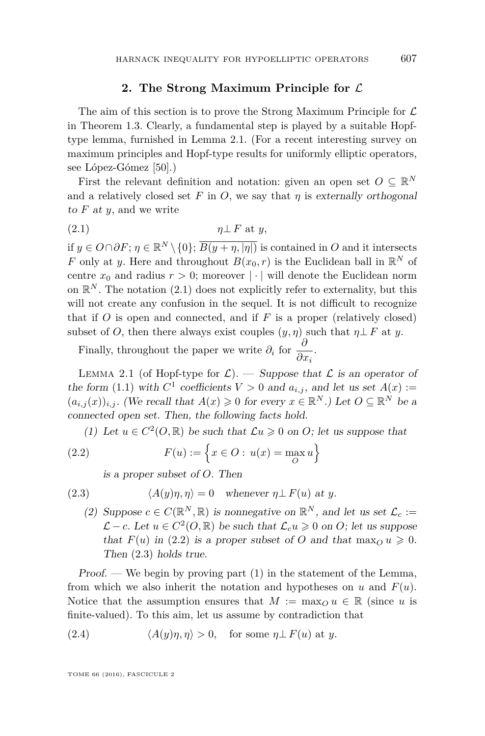#### **2. The Strong Maximum Principle for** L

<span id="page-19-1"></span>The aim of this section is to prove the Strong Maximum Principle for  $\mathcal L$ in Theorem [1.3.](#page-8-3) Clearly, a fundamental step is played by a suitable Hopftype lemma, furnished in Lemma [2.1.](#page-19-0) (For a recent interesting survey on maximum principles and Hopf-type results for uniformly elliptic operators, see López-Gómez [\[50\]](#page-42-20).)

First the relevant definition and notation: given an open set  $O \subseteq \mathbb{R}^N$ and a relatively closed set  $F$  in  $O$ , we say that  $\eta$  is externally orthogonal to *F* at *y*, and we write

<span id="page-19-2"></span>
$$
(2.1) \t\t \eta \perp F \text{ at } y,
$$

if  $y \in O \cap \partial F$ ;  $\eta \in \mathbb{R}^N \setminus \{0\}$ ;  $\overline{B(y + \eta, |\eta|)}$  is contained in *O* and it intersects *F* only at *y*. Here and throughout  $B(x_0, r)$  is the Euclidean ball in  $\mathbb{R}^N$  of centre  $x_0$  and radius  $r > 0$ ; moreover | · | will denote the Euclidean norm on  $\mathbb{R}^N$ . The notation [\(2.1\)](#page-19-2) does not explicitly refer to externality, but this will not create any confusion in the sequel. It is not difficult to recognize that if  $O$  is open and connected, and if  $F$  is a proper (relatively closed) subset of *O*, then there always exist couples  $(y, \eta)$  such that  $\eta \perp F$  at *y*.

Finally, throughout the paper we write  $\partial_i$  for  $\frac{\partial}{\partial x_i}$ .

<span id="page-19-0"></span>LEMMA 2.1 (of Hopf-type for  $\mathcal{L}$ ). — Suppose that  $\mathcal{L}$  is an operator of the form [\(1.1\)](#page-2-0) with  $C^1$  coefficients  $V > 0$  and  $a_{i,j}$ , and let us set  $A(x) :=$  $(a_{i,j}(x))_{i,j}$ . (We recall that  $A(x) \geq 0$  for every  $x \in \mathbb{R}^N$ .) Let  $O \subseteq \mathbb{R}^N$  be a connected open set. Then, the following facts hold.

(1) Let  $u \in C^2(0, \mathbb{R})$  be such that  $\mathcal{L}u \geq 0$  on *O*; let us suppose that

(2.2) 
$$
F(u) := \left\{ x \in O : u(x) = \max_{O} u \right\}
$$

<span id="page-19-4"></span><span id="page-19-3"></span>is a proper subset of *O*. Then

(2.3) 
$$
\langle A(y)\eta, \eta \rangle = 0 \quad \text{whenever } \eta \perp F(u) \text{ at } y.
$$

(2) Suppose  $c \in C(\mathbb{R}^N, \mathbb{R})$  is nonnegative on  $\mathbb{R}^N$ , and let us set  $\mathcal{L}_c :=$  $\mathcal{L}$  − *c*. Let  $u \in C^2(0, \mathbb{R})$  be such that  $\mathcal{L}_c u \ge 0$  on *O*; let us suppose that  $F(u)$  in [\(2.2\)](#page-19-3) is a proper subset of *O* and that  $\max_{O} u \geq 0$ . Then [\(2.3\)](#page-19-4) holds true.

Proof. — We begin by proving part  $(1)$  in the statement of the Lemma, from which we also inherit the notation and hypotheses on  $u$  and  $F(u)$ . Notice that the assumption ensures that  $M := \max_{Q} u \in \mathbb{R}$  (since *u* is finite-valued). To this aim, let us assume by contradiction that

<span id="page-19-5"></span>(2.4) 
$$
\langle A(y)\eta, \eta \rangle > 0
$$
, for some  $\eta \perp F(u)$  at y.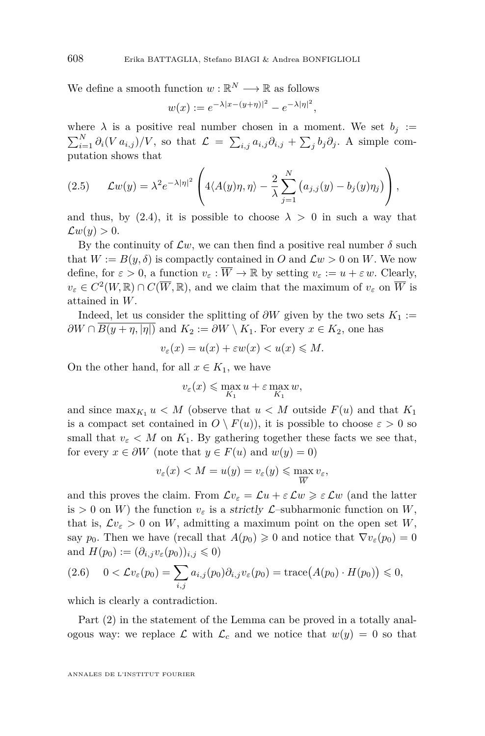We define a smooth function  $w : \mathbb{R}^N \longrightarrow \mathbb{R}$  as follows

$$
w(x) := e^{-\lambda |x - (y + \eta)|^2} - e^{-\lambda |\eta|^2},
$$

where  $\lambda$  is a positive real number chosen in a moment. We set  $b_j :=$  $\sum_{i=1}^{N} \partial_i (V a_{i,j}) / V$ , so that  $\mathcal{L} = \sum_{i,j} a_{i,j} \partial_{i,j} + \sum_j b_j \partial_j$ . A simple computation shows that

<span id="page-20-0"></span>(2.5) 
$$
\mathcal{L}w(y) = \lambda^2 e^{-\lambda |\eta|^2} \left( 4\langle A(y)\eta, \eta \rangle - \frac{2}{\lambda} \sum_{j=1}^N \left( a_{j,j}(y) - b_j(y)\eta_j \right) \right),
$$

and thus, by [\(2.4\)](#page-19-5), it is possible to choose  $\lambda > 0$  in such a way that  $\mathcal{L}w(y) > 0.$ 

By the continuity of  $\mathcal{L}w$ , we can then find a positive real number  $\delta$  such that  $W := B(y, \delta)$  is compactly contained in *O* and  $\mathcal{L}w > 0$  on *W*. We now define, for  $\varepsilon > 0$ , a function  $v_{\varepsilon} : \overline{W} \to \mathbb{R}$  by setting  $v_{\varepsilon} := u + \varepsilon w$ . Clearly,  $v_{\varepsilon} \in C^2(W, \mathbb{R}) \cap C(\overline{W}, \mathbb{R})$ , and we claim that the maximum of  $v_{\varepsilon}$  on  $\overline{W}$  is attained in *W*.

Indeed, let us consider the splitting of  $\partial W$  given by the two sets  $K_1 :=$  $\partial W \cap B(y + \eta, |\eta|)$  and  $K_2 := \partial W \setminus K_1$ . For every  $x \in K_2$ , one has

$$
v_{\varepsilon}(x) = u(x) + \varepsilon w(x) < u(x) \leqslant M.
$$

On the other hand, for all  $x \in K_1$ , we have

$$
v_{\varepsilon}(x) \leqslant \max_{K_1} u + \varepsilon \max_{K_1} w,
$$

and since  $\max_{K_1} u < M$  (observe that  $u < M$  outside  $F(u)$  and that  $K_1$ is a compact set contained in  $O \setminus F(u)$ , it is possible to choose  $\varepsilon > 0$  so small that  $v_{\varepsilon}$  < M on  $K_1$ . By gathering together these facts we see that, for every  $x \in \partial W$  (note that  $y \in F(u)$  and  $w(y) = 0$ )

$$
v_{\varepsilon}(x) < M = u(y) = v_{\varepsilon}(y) \leqslant \max_{\overline{W}} v_{\varepsilon},
$$

and this proves the claim. From  $\mathcal{L}v_{\varepsilon} = \mathcal{L}u + \varepsilon \mathcal{L}w \geqslant \varepsilon \mathcal{L}w$  (and the latter is  $> 0$  on *W*) the function  $v_{\varepsilon}$  is a strictly *L*-subharmonic function on *W*, that is,  $\mathcal{L}v_{\varepsilon} > 0$  on *W*, admitting a maximum point on the open set *W*, say  $p_0$ . Then we have (recall that  $A(p_0) \geq 0$  and notice that  $\nabla v_\varepsilon(p_0) = 0$ and  $H(p_0) := (\partial_{i,j} v_\varepsilon(p_0))_{i,j} \leqslant 0$ 

<span id="page-20-1"></span>
$$
(2.6) \quad 0 < \mathcal{L}v_{\varepsilon}(p_0) = \sum_{i,j} a_{i,j}(p_0)\partial_{i,j}v_{\varepsilon}(p_0) = \text{trace}\big(A(p_0) \cdot H(p_0)\big) \leq 0,
$$

which is clearly a contradiction.

Part (2) in the statement of the Lemma can be proved in a totally analogous way: we replace  $\mathcal L$  with  $\mathcal L_c$  and we notice that  $w(y) = 0$  so that

ANNALES DE L'INSTITUT FOURIER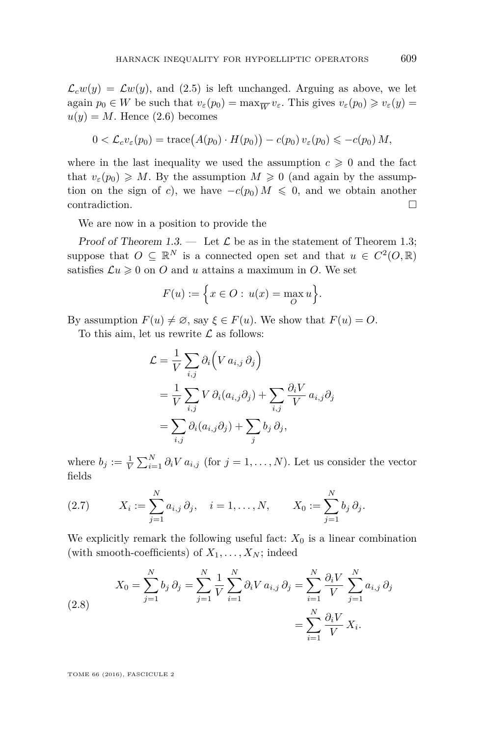$\mathcal{L}_c w(y) = \mathcal{L} w(y)$ , and [\(2.5\)](#page-20-0) is left unchanged. Arguing as above, we let again  $p_0 \in W$  be such that  $v_\varepsilon(p_0) = \max_{\overline{W}} v_\varepsilon$ . This gives  $v_\varepsilon(p_0) \geq v_\varepsilon(y) =$  $u(y) = M$ . Hence [\(2.6\)](#page-20-1) becomes

$$
0 < \mathcal{L}_c v_\varepsilon(p_0) = \text{trace}\big(A(p_0) \cdot H(p_0)\big) - c(p_0) v_\varepsilon(p_0) \leqslant -c(p_0) M,
$$

where in the last inequality we used the assumption  $c \geq 0$  and the fact that  $v_{\varepsilon}(p_0) \geqslant M$ . By the assumption  $M \geqslant 0$  (and again by the assumption on the sign of *c*), we have  $-c(p_0) M \leq 0$ , and we obtain another contradiction.

We are now in a position to provide the

Proof of Theorem [1.3.](#page-8-3) — Let  $\mathcal L$  be as in the statement of Theorem [1.3;](#page-8-3) suppose that  $O \subseteq \mathbb{R}^N$  is a connected open set and that  $u \in C^2(O, \mathbb{R})$ satisfies  $\mathcal{L}u \geq 0$  on *O* and *u* attains a maximum in *O*. We set

$$
F(u) := \Big\{ x \in O : \, u(x) = \max_{O} u \Big\}.
$$

By assumption  $F(u) \neq \emptyset$ , say  $\xi \in F(u)$ . We show that  $F(u) = O$ .

To this aim, let us rewrite  $\mathcal L$  as follows:

$$
\mathcal{L} = \frac{1}{V} \sum_{i,j} \partial_i \left( V a_{i,j} \partial_j \right)
$$
  
=  $\frac{1}{V} \sum_{i,j} V \partial_i (a_{i,j} \partial_j) + \sum_{i,j} \frac{\partial_i V}{V} a_{i,j} \partial_j$   
=  $\sum_{i,j} \partial_i (a_{i,j} \partial_j) + \sum_j b_j \partial_j$ ,

where  $b_j := \frac{1}{V} \sum_{i=1}^N \partial_i V a_{i,j}$  (for  $j = 1, ..., N$ ). Let us consider the vector fields

<span id="page-21-1"></span>(2.7) 
$$
X_i := \sum_{j=1}^N a_{i,j} \partial_j, \quad i = 1, ..., N, \qquad X_0 := \sum_{j=1}^N b_j \partial_j.
$$

We explicitly remark the following useful fact:  $X_0$  is a linear combination (with smooth-coefficients) of  $X_1, \ldots, X_N$ ; indeed

<span id="page-21-0"></span>(2.8) 
$$
X_0 = \sum_{j=1}^N b_j \, \partial_j = \sum_{j=1}^N \frac{1}{V} \sum_{i=1}^N \partial_i V \, a_{i,j} \, \partial_j = \sum_{i=1}^N \frac{\partial_i V}{V} \sum_{j=1}^N a_{i,j} \, \partial_j = \sum_{i=1}^N \frac{\partial_i V}{V} \, X_i.
$$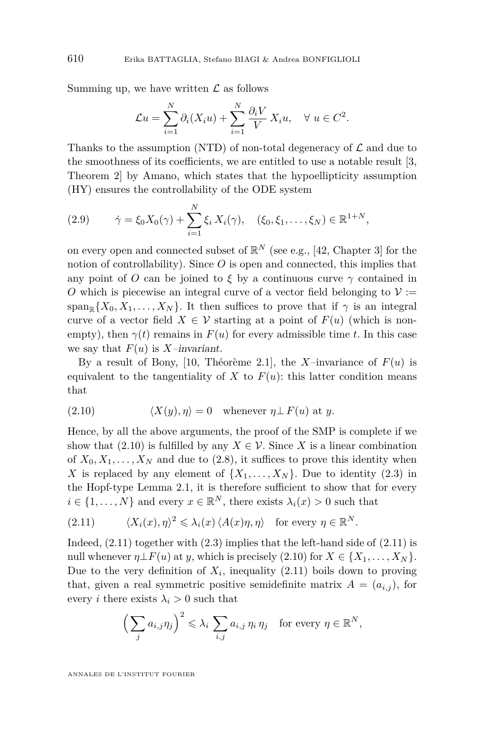Summing up, we have written  $\mathcal L$  as follows

$$
\mathcal{L}u = \sum_{i=1}^N \partial_i (X_i u) + \sum_{i=1}^N \frac{\partial_i V}{V} X_i u, \quad \forall u \in C^2.
$$

Thanks to the assumption (NTD) of non-total degeneracy of  $\mathcal L$  and due to the smoothness of its coefficients, we are entitled to use a notable result [\[3,](#page-39-4) Theorem 2] by Amano, which states that the hypoellipticity assumption (HY) ensures the controllability of the ODE system

<span id="page-22-2"></span>
$$
(2.9) \qquad \dot{\gamma} = \xi_0 X_0(\gamma) + \sum_{i=1}^N \xi_i X_i(\gamma), \quad (\xi_0, \xi_1, \dots, \xi_N) \in \mathbb{R}^{1+N},
$$

on every open and connected subset of  $\mathbb{R}^N$  (see e.g., [\[42,](#page-41-18) Chapter 3] for the notion of controllability). Since O is open and connected, this implies that any point of *O* can be joined to  $\xi$  by a continuous curve  $\gamma$  contained in *O* which is piecewise an integral curve of a vector field belonging to  $\mathcal{V}$  := span<sub>R</sub>{ $X_0, X_1, \ldots, X_N$ }. It then suffices to prove that if  $\gamma$  is an integral curve of a vector field  $X \in \mathcal{V}$  starting at a point of  $F(u)$  (which is nonempty), then  $\gamma(t)$  remains in  $F(u)$  for every admissible time *t*. In this case we say that  $F(u)$  is *X*–invariant.

By a result of Bony, [\[10,](#page-40-2) Théorème 2.1], the *X*-invariance of  $F(u)$  is equivalent to the tangentiality of *X* to  $F(u)$ : this latter condition means that

<span id="page-22-0"></span>(2.10) 
$$
\langle X(y), \eta \rangle = 0 \quad \text{whenever } \eta \perp F(u) \text{ at } y.
$$

Hence, by all the above arguments, the proof of the SMP is complete if we show that [\(2.10\)](#page-22-0) is fulfilled by any  $X \in \mathcal{V}$ . Since *X* is a linear combination of  $X_0, X_1, \ldots, X_N$  and due to [\(2.8\)](#page-21-0), it suffices to prove this identity when X is replaced by any element of  $\{X_1, \ldots, X_N\}$ . Due to identity [\(2.3\)](#page-19-4) in the Hopf-type Lemma [2.1,](#page-19-0) it is therefore sufficient to show that for every  $i \in \{1, \ldots, N\}$  and every  $x \in \mathbb{R}^N$ , there exists  $\lambda_i(x) > 0$  such that

<span id="page-22-1"></span>(2.11) 
$$
\langle X_i(x), \eta \rangle^2 \leq \lambda_i(x) \langle A(x)\eta, \eta \rangle \text{ for every } \eta \in \mathbb{R}^N.
$$

Indeed,  $(2.11)$  together with  $(2.3)$  implies that the left-hand side of  $(2.11)$  is null whenever  $\eta \perp F(u)$  at *y*, which is precisely [\(2.10\)](#page-22-0) for  $X \in \{X_1, \ldots, X_N\}$ . Due to the very definition of  $X_i$ , inequality  $(2.11)$  boils down to proving that, given a real symmetric positive semidefinite matrix  $A = (a_{i,j})$ , for every *i* there exists  $\lambda_i > 0$  such that

$$
\left(\sum_{j} a_{i,j} \eta_j\right)^2 \leq \lambda_i \sum_{i,j} a_{i,j} \eta_i \eta_j \quad \text{for every } \eta \in \mathbb{R}^N,
$$

ANNALES DE L'INSTITUT FOURIER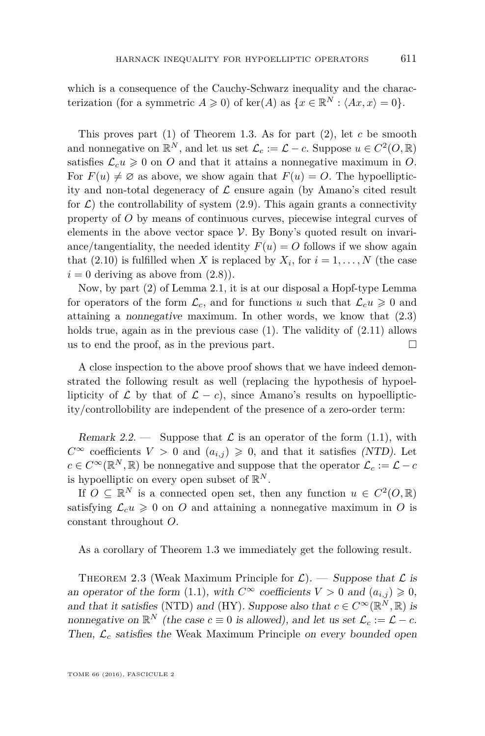which is a consequence of the Cauchy-Schwarz inequality and the characterization (for a symmetric  $A \geq 0$ ) of ker(*A*) as  $\{x \in \mathbb{R}^N : \langle Ax, x \rangle = 0\}.$ 

This proves part (1) of Theorem [1.3.](#page-8-3) As for part (2), let *c* be smooth and nonnegative on  $\mathbb{R}^N$ , and let us set  $\mathcal{L}_c := \mathcal{L} - c$ . Suppose  $u \in C^2(O, \mathbb{R})$ satisfies  $\mathcal{L}_c u \geq 0$  on *O* and that it attains a nonnegative maximum in *O*. For  $F(u) \neq \emptyset$  as above, we show again that  $F(u) = O$ . The hypoellipticity and non-total degeneracy of  $\mathcal L$  ensure again (by Amano's cited result for  $\mathcal{L}$ ) the controllability of system [\(2.9\)](#page-22-2). This again grants a connectivity property of *O* by means of continuous curves, piecewise integral curves of elements in the above vector space  $V$ . By Bony's quoted result on invariance/tangentiality, the needed identity  $F(u) = O$  follows if we show again that  $(2.10)$  is fulfilled when *X* is replaced by  $X_i$ , for  $i = 1, \ldots, N$  (the case  $i = 0$  deriving as above from  $(2.8)$ ).

Now, by part (2) of Lemma [2.1,](#page-19-0) it is at our disposal a Hopf-type Lemma for operators of the form  $\mathcal{L}_c$ , and for functions *u* such that  $\mathcal{L}_c u \geq 0$  and attaining a nonnegative maximum. In other words, we know that [\(2.3\)](#page-19-4) holds true, again as in the previous case  $(1)$ . The validity of  $(2.11)$  allows us to end the proof, as in the previous part.  $\Box$ 

A close inspection to the above proof shows that we have indeed demonstrated the following result as well (replacing the hypothesis of hypoellipticity of  $\mathcal L$  by that of  $\mathcal L - c$ , since Amano's results on hypoellipticity/controllobility are independent of the presence of a zero-order term:

<span id="page-23-1"></span>Remark 2.2. — Suppose that  $\mathcal L$  is an operator of the form [\(1.1\)](#page-2-0), with *C*∞ coefficients *V* > 0 and  $(a_{i,j})$  ≥ 0, and that it satisfies (NTD). Let  $c \in C^{\infty}(\mathbb{R}^N, \mathbb{R})$  be nonnegative and suppose that the operator  $\mathcal{L}_c := \mathcal{L} - c$ is hypoelliptic on every open subset of  $\mathbb{R}^N$ .

If  $O \subseteq \mathbb{R}^N$  is a connected open set, then any function  $u \in C^2(O, \mathbb{R})$ satisfying  $\mathcal{L}_c u \geq 0$  on *O* and attaining a nonnegative maximum in *O* is constant throughout *O*.

As a corollary of Theorem [1.3](#page-8-3) we immediately get the following result.

<span id="page-23-0"></span>THEOREM 2.3 (Weak Maximum Principle for  $\mathcal{L}$ ). — Suppose that  $\mathcal{L}$  is an operator of the form [\(1.1\)](#page-2-0), with  $C^{\infty}$  coefficients  $V > 0$  and  $(a_{i,j}) \geq 0$ , and that it satisfies (NTD) and (HY). Suppose also that  $c \in C^{\infty}(\mathbb{R}^N, \mathbb{R})$  is nonnegative on  $\mathbb{R}^N$  (the case  $c \equiv 0$  is allowed), and let us set  $\mathcal{L}_c := \mathcal{L} - c$ . Then,  $\mathcal{L}_c$  satisfies the Weak Maximum Principle on every bounded open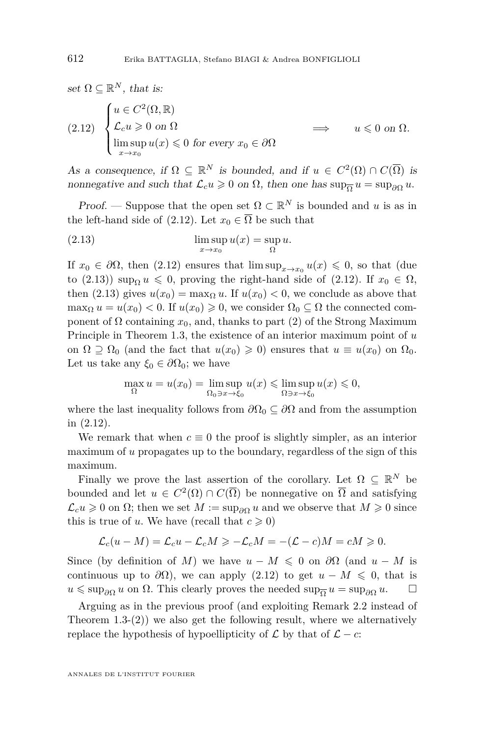<span id="page-24-0"></span>set  $\Omega \subseteq \mathbb{R}^N$ , that is: (2.12)  $\sqrt{ }$  $\int$  $\overline{\mathcal{L}}$  $u \in C^2(\Omega, \mathbb{R})$  $\mathcal{L}_c u \geqslant 0$  on  $\Omega$  $\limsup_{x \to x_0} u(x) \leq 0$  for every  $x_0 \in \partial \Omega$  $u \leqslant 0$  on  $\Omega$ .

As a consequence, if  $\Omega \subseteq \mathbb{R}^N$  is bounded, and if  $u \in C^2(\Omega) \cap C(\overline{\Omega})$  is nonnegative and such that  $\mathcal{L}_c u \geq 0$  on  $\Omega$ , then one has  $\sup_{\overline{\Omega}} u = \sup_{\partial \Omega} u$ .

*Proof.* — Suppose that the open set  $\Omega \subset \mathbb{R}^N$  is bounded and *u* is as in the left-hand side of [\(2.12\)](#page-24-0). Let  $x_0 \in \overline{\Omega}$  be such that

<span id="page-24-1"></span>(2.13) 
$$
\limsup_{x \to x_0} u(x) = \sup_{\Omega} u.
$$

If  $x_0 \in \partial\Omega$ , then [\(2.12\)](#page-24-0) ensures that  $\limsup_{x\to x_0} u(x) \leq 0$ , so that (due to [\(2.13\)](#page-24-1)) sup<sub>0</sub>  $u \le 0$ , proving the right-hand side of [\(2.12\)](#page-24-0). If  $x_0 \in \Omega$ , then [\(2.13\)](#page-24-1) gives  $u(x_0) = \max_{\Omega} u$ . If  $u(x_0) < 0$ , we conclude as above that  $\max_{\Omega} u = u(x_0) < 0$ . If  $u(x_0) \geq 0$ , we consider  $\Omega_0 \subseteq \Omega$  the connected component of  $\Omega$  containing  $x_0$ , and, thanks to part (2) of the Strong Maximum Principle in Theorem [1.3,](#page-8-3) the existence of an interior maximum point of *u* on  $\Omega \supseteq \Omega_0$  (and the fact that  $u(x_0) \geq 0$ ) ensures that  $u \equiv u(x_0)$  on  $\Omega_0$ . Let us take any  $\xi_0 \in \partial \Omega_0$ ; we have

$$
\max_{\Omega} u = u(x_0) = \limsup_{\Omega_0 \ni x \to \xi_0} u(x) \leq \limsup_{\Omega \ni x \to \xi_0} u(x) \leqslant 0,
$$

where the last inequality follows from  $\partial\Omega_0 \subseteq \partial\Omega$  and from the assumption in [\(2.12\)](#page-24-0).

We remark that when  $c \equiv 0$  the proof is slightly simpler, as an interior maximum of *u* propagates up to the boundary, regardless of the sign of this maximum.

Finally we prove the last assertion of the corollary. Let  $\Omega \subseteq \mathbb{R}^N$  be bounded and let  $u \in C^2(\Omega) \cap C(\overline{\Omega})$  be nonnegative on  $\overline{\Omega}$  and satisfying  $\mathcal{L}_c u \geq 0$  on  $\Omega$ ; then we set  $M := \sup_{\partial \Omega} u$  and we observe that  $M \geq 0$  since this is true of *u*. We have (recall that  $c \geq 0$ )

$$
\mathcal{L}_c(u - M) = \mathcal{L}_c u - \mathcal{L}_c M \ge -\mathcal{L}_c M = -(\mathcal{L} - c)M = cM \ge 0.
$$

Since (by definition of *M*) we have  $u - M \leq 0$  on  $\partial\Omega$  (and  $u - M$  is continuous up to  $\partial\Omega$ ), we can apply [\(2.12\)](#page-24-0) to get  $u - M \leq 0$ , that is  $u \leq \sup_{\partial \Omega} u$  on  $\Omega$ . This clearly proves the needed  $\sup_{\overline{\Omega}} u = \sup_{\partial \Omega} u$ .  $\Box$ 

Arguing as in the previous proof (and exploiting Remark [2.2](#page-23-1) instead of Theorem [1.3-](#page-8-3)(2)) we also get the following result, where we alternatively replace the hypothesis of hypoellipticity of  $\mathcal L$  by that of  $\mathcal L$  − *c*:

ANNALES DE L'INSTITUT FOURIER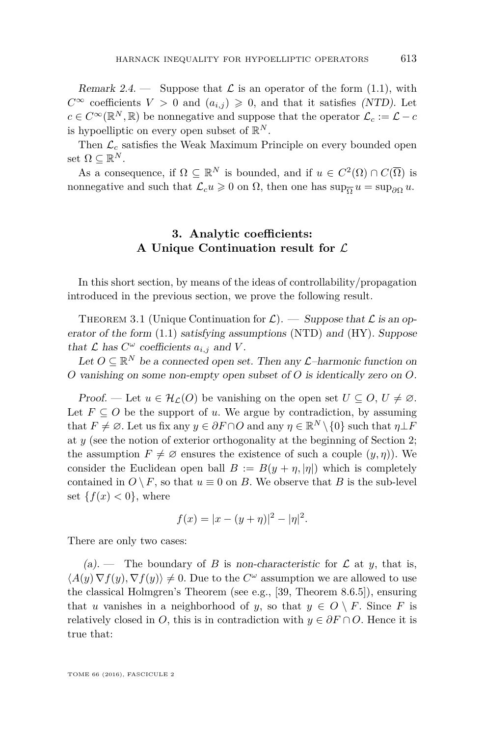<span id="page-25-1"></span>Remark 2.4. — Suppose that  $\mathcal L$  is an operator of the form [\(1.1\)](#page-2-0), with *C*∞ coefficients *V* > 0 and  $(a_{i,j})$  ≥ 0, and that it satisfies (NTD). Let  $c \in C^{\infty}(\mathbb{R}^N, \mathbb{R})$  be nonnegative and suppose that the operator  $\mathcal{L}_c := \mathcal{L} - c$ is hypoelliptic on every open subset of  $\mathbb{R}^N$ .

Then  $\mathcal{L}_c$  satisfies the Weak Maximum Principle on every bounded open set  $\Omega \subseteq \mathbb{R}^N$ .

As a consequence, if  $\Omega \subseteq \mathbb{R}^N$  is bounded, and if  $u \in C^2(\Omega) \cap C(\overline{\Omega})$  is nonnegative and such that  $\mathcal{L}_c u \geq 0$  on  $\Omega$ , then one has  $\sup_{\overline{\Omega}} u = \sup_{\partial \Omega} u$ .

#### **3. Analytic coefficients: A Unique Continuation result for** L

<span id="page-25-0"></span>In this short section, by means of the ideas of controllability/propagation introduced in the previous section, we prove the following result.

<span id="page-25-2"></span>THEOREM 3.1 (Unique Continuation for  $\mathcal{L}$ ). — Suppose that  $\mathcal{L}$  is an operator of the form [\(1.1\)](#page-2-0) satisfying assumptions (NTD) and (HY). Suppose that  $\mathcal L$  has  $C^{\omega}$  coefficients  $a_{i,j}$  and  $V$ .

Let  $O \subseteq \mathbb{R}^N$  be a connected open set. Then any  $\mathcal{L}$ -harmonic function on *O* vanishing on some non-empty open subset of *O* is identically zero on *O*.

Proof. — Let  $u \in \mathcal{H}_{\mathcal{L}}(O)$  be vanishing on the open set  $U \subseteq O, U \neq \emptyset$ . Let  $F \subseteq O$  be the support of *u*. We argue by contradiction, by assuming that  $F \neq \emptyset$ . Let us fix any  $y \in \partial F \cap O$  and any  $\eta \in \mathbb{R}^N \setminus \{0\}$  such that  $\eta \perp F$ at *y* (see the notion of exterior orthogonality at the beginning of Section [2;](#page-19-1) the assumption  $F \neq \emptyset$  ensures the existence of such a couple  $(y, \eta)$ ). We consider the Euclidean open ball  $B := B(y + \eta, |\eta|)$  which is completely contained in  $O \setminus F$ , so that  $u \equiv 0$  on *B*. We observe that *B* is the sub-level set  $\{f(x) < 0\}$ , where

$$
f(x) = |x - (y + \eta)|^2 - |\eta|^2.
$$

There are only two cases:

(a). — The boundary of *B* is non-characteristic for  $\mathcal L$  at *y*, that is,  $\langle A(y) \nabla f(y), \nabla f(y) \rangle \neq 0$ . Due to the  $C^{\omega}$  assumption we are allowed to use the classical Holmgren's Theorem (see e.g., [\[39,](#page-41-19) Theorem 8.6.5]), ensuring that *u* vanishes in a neighborhood of *y*, so that  $y \in O \setminus F$ . Since *F* is relatively closed in *O*, this is in contradiction with  $y \in \partial F \cap O$ . Hence it is true that: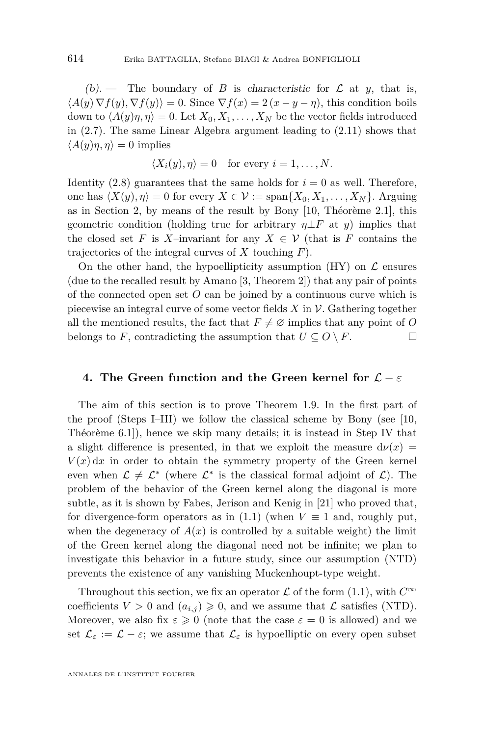(b). — The boundary of *B* is characteristic for  $\mathcal L$  at *y*, that is,  $\langle A(y) \nabla f(y), \nabla f(y) \rangle = 0$ . Since  $\nabla f(x) = 2(x - y - \eta)$ , this condition boils down to  $\langle A(y)\eta, \eta \rangle = 0$ . Let  $X_0, X_1, \ldots, X_N$  be the vector fields introduced in  $(2.7)$ . The same Linear Algebra argument leading to  $(2.11)$  shows that  $\langle A(y)\eta, \eta \rangle = 0$  implies

$$
\langle X_i(y), \eta \rangle = 0 \quad \text{for every } i = 1, \dots, N.
$$

Identity  $(2.8)$  guarantees that the same holds for  $i = 0$  as well. Therefore, one has  $\langle X(y), \eta \rangle = 0$  for every  $X \in \mathcal{V} := \text{span}\{X_0, X_1, \dots, X_N\}$ . Arguing as in Section [2,](#page-19-1) by means of the result by Bony [\[10,](#page-40-2) Théorème 2.1], this geometric condition (holding true for arbitrary  $\eta \perp F$  at *y*) implies that the closed set *F* is *X*–invariant for any  $X \in V$  (that is *F* contains the trajectories of the integral curves of *X* touching *F*).

On the other hand, the hypoellipticity assumption  $(HY)$  on  $\mathcal L$  ensures (due to the recalled result by Amano [\[3,](#page-39-4) Theorem 2]) that any pair of points of the connected open set *O* can be joined by a continuous curve which is piecewise an integral curve of some vector fields *X* in V. Gathering together all the mentioned results, the fact that  $F \neq \emptyset$  implies that any point of O belongs to *F*, contradicting the assumption that  $U \subseteq O \setminus F$ .

#### **4. The Green function and the Green kernel for** L − *ε*

The aim of this section is to prove Theorem [1.9.](#page-14-1) In the first part of the proof (Steps I–III) we follow the classical scheme by Bony (see [\[10,](#page-40-2) Théorème 6.1]), hence we skip many details; it is instead in Step IV that a slight difference is presented, in that we exploit the measure  $d\nu(x)$  =  $V(x) dx$  in order to obtain the symmetry property of the Green kernel even when  $\mathcal{L} \neq \mathcal{L}^*$  (where  $\mathcal{L}^*$  is the classical formal adjoint of  $\mathcal{L}$ ). The problem of the behavior of the Green kernel along the diagonal is more subtle, as it is shown by Fabes, Jerison and Kenig in [\[21\]](#page-40-4) who proved that, for divergence-form operators as in  $(1.1)$  (when  $V \equiv 1$  and, roughly put, when the degeneracy of  $A(x)$  is controlled by a suitable weight) the limit of the Green kernel along the diagonal need not be infinite; we plan to investigate this behavior in a future study, since our assumption (NTD) prevents the existence of any vanishing Muckenhoupt-type weight.

Throughout this section, we fix an operator  $\mathcal L$  of the form [\(1.1\)](#page-2-0), with  $C^{\infty}$ coefficients  $V > 0$  and  $(a_{i,j}) \geq 0$ , and we assume that  $\mathcal L$  satisfies (NTD). Moreover, we also fix  $\varepsilon \geq 0$  (note that the case  $\varepsilon = 0$  is allowed) and we set  $\mathcal{L}_{\varepsilon} := \mathcal{L} - \varepsilon$ ; we assume that  $\mathcal{L}_{\varepsilon}$  is hypoelliptic on every open subset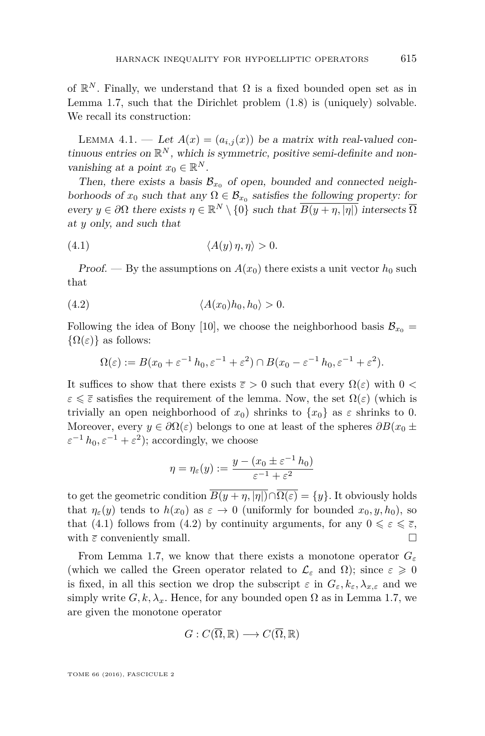of  $\mathbb{R}^N$ . Finally, we understand that  $\Omega$  is a fixed bounded open set as in Lemma [1.7,](#page-13-1) such that the Dirichlet problem [\(1.8\)](#page-13-0) is (uniquely) solvable. We recall its construction:

<span id="page-27-0"></span>LEMMA 4.1. — Let  $A(x) = (a_{i,j}(x))$  be a matrix with real-valued continuous entries on  $\mathbb{R}^N$ , which is symmetric, positive semi-definite and nonvanishing at a point  $x_0 \in \mathbb{R}^N$ .

Then, there exists a basis  $\mathcal{B}_{x_0}$  of open, bounded and connected neighborhoods of  $x_0$  such that any  $\Omega \in \mathcal{B}_{x_0}$  satisfies the following property: for every  $y \in \partial\Omega$  there exists  $\eta \in \mathbb{R}^N \setminus \{0\}$  such that  $\overline{B(y + \eta, |\eta|)}$  intersects  $\overline{\Omega}$ at *y* only, and such that

<span id="page-27-1"></span>
$$
(4.1) \t\t \langle A(y)\eta, \eta \rangle > 0.
$$

Proof. — By the assumptions on  $A(x_0)$  there exists a unit vector  $h_0$  such that

$$
(4.2) \t\t \langle A(x_0)h_0, h_0 \rangle > 0.
$$

Following the idea of Bony [\[10\]](#page-40-2), we choose the neighborhood basis  $\mathcal{B}_{x_0} =$  $\{\Omega(\varepsilon)\}\$ as follows:

<span id="page-27-2"></span>
$$
\Omega(\varepsilon) := B(x_0 + \varepsilon^{-1} h_0, \varepsilon^{-1} + \varepsilon^2) \cap B(x_0 - \varepsilon^{-1} h_0, \varepsilon^{-1} + \varepsilon^2).
$$

It suffices to show that there exists  $\bar{\varepsilon} > 0$  such that every  $\Omega(\varepsilon)$  with  $0 <$  $\varepsilon \leq \bar{\varepsilon}$  satisfies the requirement of the lemma. Now, the set  $\Omega(\varepsilon)$  (which is trivially an open neighborhood of  $x_0$ ) shrinks to  $\{x_0\}$  as  $\varepsilon$  shrinks to 0. Moreover, every  $y \in \partial \Omega(\varepsilon)$  belongs to one at least of the spheres  $\partial B(x_0 \pm \mathcal{O})$  $\varepsilon^{-1} h_0, \varepsilon^{-1} + \varepsilon^2$ ; accordingly, we choose

$$
\eta = \eta_{\varepsilon}(y) := \frac{y - (x_0 \pm \varepsilon^{-1} h_0)}{\varepsilon^{-1} + \varepsilon^2}
$$

to get the geometric condition  $\overline{B(y+\eta, |\eta|)} \cap \overline{\Omega(\varepsilon)} = \{y\}$ . It obviously holds that  $\eta_{\varepsilon}(y)$  tends to  $h(x_0)$  as  $\varepsilon \to 0$  (uniformly for bounded  $x_0, y, h_0$ ), so that [\(4.1\)](#page-27-1) follows from [\(4.2\)](#page-27-2) by continuity arguments, for any  $0 \leq \varepsilon \leq \overline{\varepsilon}$ , with  $\bar{\varepsilon}$  conveniently small.  $□$ 

From Lemma [1.7,](#page-13-1) we know that there exists a monotone operator  $G_{\varepsilon}$ (which we called the Green operator related to  $\mathcal{L}_{\varepsilon}$  and  $\Omega$ ); since  $\varepsilon \geqslant 0$ is fixed, in all this section we drop the subscript  $\varepsilon$  in  $G_{\varepsilon}$ ,  $k_{\varepsilon}$ ,  $\lambda_{x,\varepsilon}$  and we simply write  $G, k, \lambda_x$ . Hence, for any bounded open  $\Omega$  as in Lemma [1.7,](#page-13-1) we are given the monotone operator

$$
G: C(\overline{\Omega}, \mathbb{R}) \longrightarrow C(\overline{\Omega}, \mathbb{R})
$$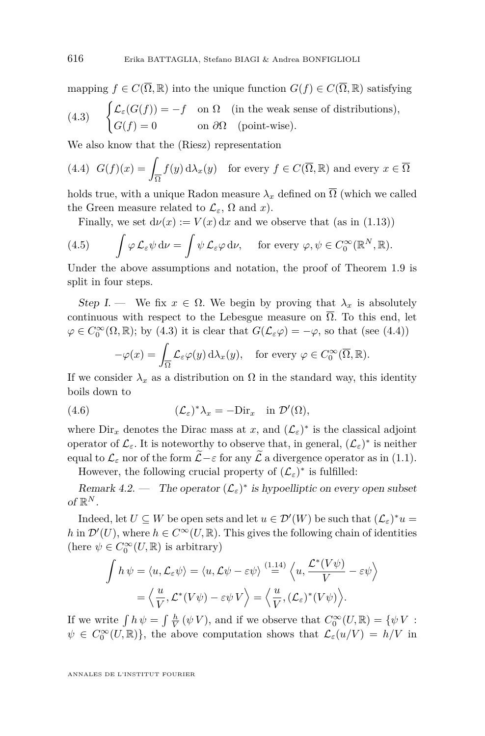<span id="page-28-1"></span>mapping  $f \in C(\overline{\Omega}, \mathbb{R})$  into the unique function  $G(f) \in C(\overline{\Omega}, \mathbb{R})$  satisfying  $\int \mathcal{L}_{\varepsilon}(G(f)) = -f$  on  $\Omega$  (in the weak sense of distributions),  $G(f) = 0$  on  $\partial \Omega$  (point-wise). (4.3)

We also know that the (Riesz) representation

<span id="page-28-2"></span>(4.4) 
$$
G(f)(x) = \int_{\overline{\Omega}} f(y) d\lambda_x(y)
$$
 for every  $f \in C(\overline{\Omega}, \mathbb{R})$  and every  $x \in \overline{\Omega}$ 

holds true, with a unique Radon measure  $\lambda_x$  defined on  $\overline{\Omega}$  (which we called the Green measure related to  $\mathcal{L}_{\varepsilon}$ ,  $\Omega$  and *x*).

Finally, we set  $d\nu(x) := V(x) dx$  and we observe that (as in [\(1.13\)](#page-14-0))

(4.5) 
$$
\int \varphi \mathcal{L}_{\varepsilon} \psi \, d\nu = \int \psi \mathcal{L}_{\varepsilon} \varphi \, d\nu, \quad \text{for every } \varphi, \psi \in C_0^{\infty}(\mathbb{R}^N, \mathbb{R}).
$$

Under the above assumptions and notation, the proof of Theorem [1.9](#page-14-1) is split in four steps.

Step I. — We fix  $x \in \Omega$ . We begin by proving that  $\lambda_x$  is absolutely continuous with respect to the Lebesgue measure on  $\overline{\Omega}$ . To this end, let  $\varphi \in C_0^{\infty}(\Omega, \mathbb{R})$ ; by [\(4.3\)](#page-28-1) it is clear that  $G(\mathcal{L}_{\varepsilon} \varphi) = -\varphi$ , so that (see [\(4.4\)](#page-28-2))

<span id="page-28-3"></span>
$$
-\varphi(x) = \int_{\overline{\Omega}} \mathcal{L}_{\varepsilon} \varphi(y) \, d\lambda_x(y), \quad \text{for every } \varphi \in C_0^{\infty}(\overline{\Omega}, \mathbb{R}).
$$

If we consider  $\lambda_x$  as a distribution on  $\Omega$  in the standard way, this identity boils down to

(4.6) 
$$
(\mathcal{L}_{\varepsilon})^* \lambda_x = -\text{Dir}_x \quad \text{in } \mathcal{D}'(\Omega),
$$

where  $\text{Dir}_x$  denotes the Dirac mass at *x*, and  $(\mathcal{L}_\varepsilon)^*$  is the classical adjoint operator of  $\mathcal{L}_{\varepsilon}$ . It is noteworthy to observe that, in general,  $(\mathcal{L}_{\varepsilon})^*$  is neither equal to  $\mathcal{L}_{\varepsilon}$  nor of the form  $\widetilde{\mathcal{L}}-\varepsilon$  for any  $\widetilde{\mathcal{L}}$  a divergence operator as in [\(1.1\)](#page-2-0). However, the following crucial property of  $(\mathcal{L}_{\varepsilon})^*$  is fulfilled:

<span id="page-28-0"></span>Remark  $4.2.$  — The operator  $(\mathcal{L}_{\varepsilon})^*$  is hypoelliptic on every open subset of  $\mathbb{R}^N$ .

Indeed, let  $U \subseteq W$  be open sets and let  $u \in \mathcal{D}'(W)$  be such that  $(\mathcal{L}_{\varepsilon})^* u =$ *h* in  $\mathcal{D}'(U)$ , where  $h \in C^{\infty}(U,\mathbb{R})$ . This gives the following chain of identities (here  $\psi \in C_0^{\infty}(U,\mathbb{R})$  is arbitrary)

$$
\int h \psi = \langle u, \mathcal{L}_{\varepsilon} \psi \rangle = \langle u, \mathcal{L} \psi - \varepsilon \psi \rangle \stackrel{(1.14)}{=} \langle u, \frac{\mathcal{L}^*(V\psi)}{V} - \varepsilon \psi \rangle
$$

$$
= \langle \frac{u}{V}, \mathcal{L}^*(V\psi) - \varepsilon \psi V \rangle = \langle \frac{u}{V}, (\mathcal{L}_{\varepsilon})^*(V\psi) \rangle.
$$

If we write  $\int h \psi = \int \frac{h}{V} (\psi V)$ , and if we observe that  $C_0^{\infty}(U, \mathbb{R}) = {\psi V}$ :  $\psi \in C_0^{\infty}(U, \mathbb{R})$ , the above computation shows that  $\mathcal{L}_{\varepsilon}(u/V) = h/V$  in

ANNALES DE L'INSTITUT FOURIER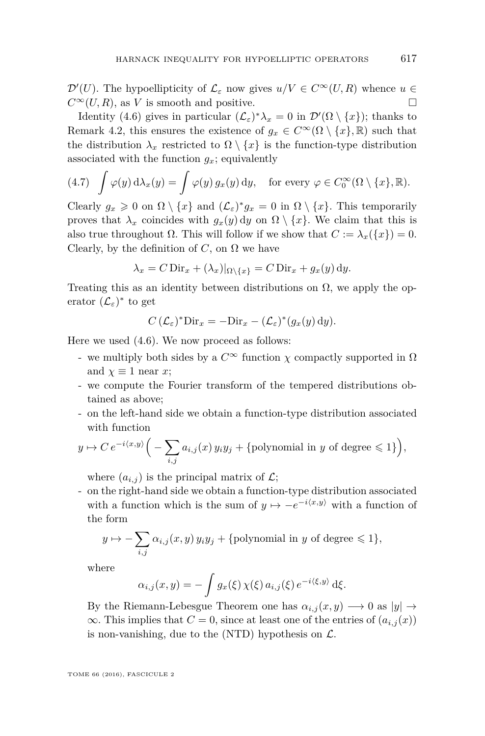$\mathcal{D}'(U)$ . The hypoellipticity of  $\mathcal{L}_{\varepsilon}$  now gives  $u/V \in C^{\infty}(U, R)$  whence  $u \in$  $C^{\infty}(U, R)$ , as *V* is smooth and positive.

Identity [\(4.6\)](#page-28-3) gives in particular  $(\mathcal{L}_{\varepsilon})^*\lambda_x = 0$  in  $\mathcal{D}'(\Omega \setminus \{x\})$ ; thanks to Remark [4.2,](#page-28-0) this ensures the existence of  $g_x \in C^{\infty}(\Omega \setminus \{x\}, \mathbb{R})$  such that the distribution  $\lambda_x$  restricted to  $\Omega \setminus \{x\}$  is the function-type distribution associated with the function  $g_x$ ; equivalently

(4.7) 
$$
\int \varphi(y) d\lambda_x(y) = \int \varphi(y) g_x(y) dy
$$
, for every  $\varphi \in C_0^{\infty}(\Omega \setminus \{x\}, \mathbb{R})$ .

Clearly  $g_x \ge 0$  on  $\Omega \setminus \{x\}$  and  $(\mathcal{L}_{\varepsilon})^* g_x = 0$  in  $\Omega \setminus \{x\}$ . This temporarily proves that  $\lambda_x$  coincides with  $g_x(y)$  dy on  $\Omega \setminus \{x\}$ . We claim that this is also true throughout  $\Omega$ . This will follow if we show that  $C := \lambda_x({x}) = 0$ . Clearly, by the definition of  $C$ , on  $\Omega$  we have

$$
\lambda_x = C \operatorname{Dir}_x + (\lambda_x)|_{\Omega \setminus \{x\}} = C \operatorname{Dir}_x + g_x(y) \, dy.
$$

Treating this as an identity between distributions on  $\Omega$ , we apply the operator  $(\mathcal{L}_{\varepsilon})^*$  to get

$$
C\left(\mathcal{L}_{\varepsilon}\right)^* \mathrm{Dir}_x = -\mathrm{Dir}_x - \left(\mathcal{L}_{\varepsilon}\right)^* \left(g_x(y) \, \mathrm{d} y\right).
$$

Here we used [\(4.6\)](#page-28-3). We now proceed as follows:

- we multiply both sides by a  $C^{\infty}$  function  $\chi$  compactly supported in  $\Omega$ and  $\chi \equiv 1$  near *x*;
- we compute the Fourier transform of the tempered distributions obtained as above;
- on the left-hand side we obtain a function-type distribution associated with function

$$
y \mapsto C e^{-i\langle x, y \rangle} \Big( - \sum_{i,j} a_{i,j}(x) y_i y_j + \text{polynomial in } y \text{ of degree } \leq 1 \} \Big),
$$

where  $(a_{i,j})$  is the principal matrix of  $\mathcal{L}$ ;

- on the right-hand side we obtain a function-type distribution associated with a function which is the sum of  $y \mapsto -e^{-i\langle x,y\rangle}$  with a function of the form

$$
y \mapsto -\sum_{i,j} \alpha_{i,j}(x,y) y_i y_j + \{\text{polynomial in } y \text{ of degree } \leq 1\},\
$$

where

$$
\alpha_{i,j}(x,y) = -\int g_x(\xi) \,\chi(\xi) \, a_{i,j}(\xi) \, e^{-i\langle \xi, y \rangle} \, \mathrm{d}\xi.
$$

By the Riemann-Lebesgue Theorem one has  $\alpha_{i,j}(x,y) \longrightarrow 0$  as  $|y| \rightarrow$  $\infty$ . This implies that *C* = 0, since at least one of the entries of  $(a_{i,j}(x))$ is non-vanishing, due to the (NTD) hypothesis on  $\mathcal{L}$ .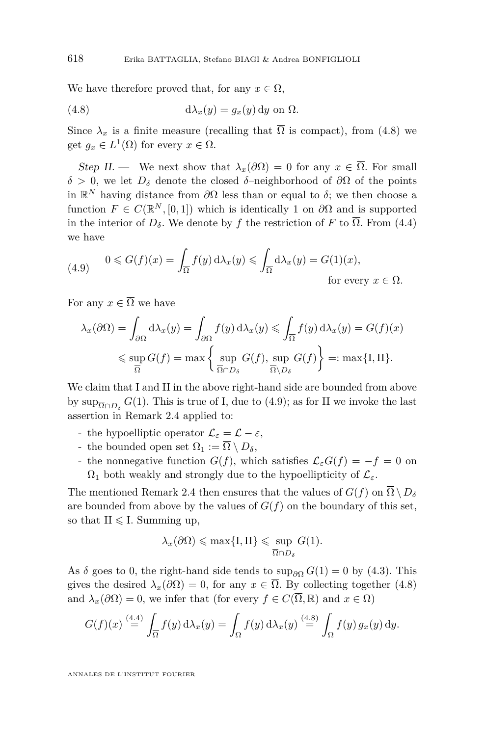We have therefore proved that, for any  $x \in \Omega$ ,

<span id="page-30-0"></span>(4.8) 
$$
d\lambda_x(y) = g_x(y) dy \text{ on } \Omega.
$$

Since  $\lambda_x$  is a finite measure (recalling that  $\overline{\Omega}$  is compact), from [\(4.8\)](#page-30-0) we get  $g_x \in L^1(\Omega)$  for every  $x \in \Omega$ .

Step II. — We next show that  $\lambda_x(\partial\Omega) = 0$  for any  $x \in \overline{\Omega}$ . For small *δ >* 0, we let *D<sup>δ</sup>* denote the closed *δ*–neighborhood of *∂*Ω of the points in  $\mathbb{R}^N$  having distance from  $\partial\Omega$  less than or equal to  $\delta$ ; we then choose a function  $F \in C(\mathbb{R}^N, [0, 1])$  which is identically 1 on  $\partial\Omega$  and is supported in the interior of  $D_\delta$ . We denote by f the restriction of F to  $\overline{\Omega}$ . From [\(4.4\)](#page-28-2) we have

<span id="page-30-1"></span>(4.9) 
$$
0 \le G(f)(x) = \int_{\overline{\Omega}} f(y) d\lambda_x(y) \le \int_{\overline{\Omega}} d\lambda_x(y) = G(1)(x),
$$
for every  $x \in \overline{\Omega}$ .

For any  $x \in \overline{\Omega}$  we have

$$
\lambda_x(\partial \Omega) = \int_{\partial \Omega} d\lambda_x(y) = \int_{\partial \Omega} f(y) d\lambda_x(y) \le \int_{\overline{\Omega}} f(y) d\lambda_x(y) = G(f)(x)
$$
  

$$
\le \sup_{\overline{\Omega}} G(f) = \max \left\{ \sup_{\overline{\Omega} \cap D_{\delta}} G(f), \sup_{\overline{\Omega} \setminus D_{\delta}} G(f) \right\} =: \max \{I, II\}.
$$

We claim that I and II in the above right-hand side are bounded from above by  $\sup_{\overline{\Omega} \cap D_{\delta}} G(1)$ . This is true of I, due to [\(4.9\)](#page-30-1); as for II we invoke the last assertion in Remark [2.4](#page-25-1) applied to:

- the hypoelliptic operator  $\mathcal{L}_{\varepsilon} = \mathcal{L} \varepsilon$ ,
- the bounded open set  $\Omega_1 := \Omega \setminus D_\delta$ ,
- the nonnegative function  $G(f)$ , which satisfies  $\mathcal{L}_{\varepsilon}G(f) = -f = 0$  on  $\Omega_1$  both weakly and strongly due to the hypoellipticity of  $\mathcal{L}_{\varepsilon}$ .

The mentioned Remark [2.4](#page-25-1) then ensures that the values of  $G(f)$  on  $\overline{\Omega} \setminus D_{\delta}$ are bounded from above by the values of  $G(f)$  on the boundary of this set, so that  $II \le I$ . Summing up,

$$
\lambda_x(\partial\Omega) \leqslant \max\{\text{I},\text{II}\} \leqslant \sup_{\overline{\Omega} \cap D_\delta} G(1).
$$

As  $\delta$  goes to 0, the right-hand side tends to sup<sub>∂</sub> $G(1) = 0$  by [\(4.3\)](#page-28-1). This gives the desired  $\lambda_x(\partial\Omega) = 0$ , for any  $x \in \overline{\Omega}$ . By collecting together [\(4.8\)](#page-30-0) and  $\lambda_x(\partial\Omega) = 0$ , we infer that (for every  $f \in C(\overline{\Omega}, \mathbb{R})$  and  $x \in \Omega$ )

$$
G(f)(x) \stackrel{(4.4)}{=} \int_{\overline{\Omega}} f(y) d\lambda_x(y) = \int_{\Omega} f(y) d\lambda_x(y) \stackrel{(4.8)}{=} \int_{\Omega} f(y) g_x(y) dy.
$$

ANNALES DE L'INSTITUT FOURIER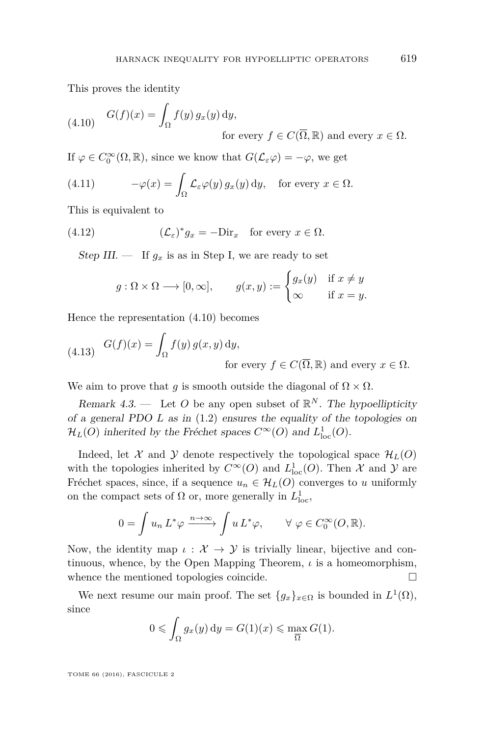This proves the identity

<span id="page-31-1"></span>(4.10) 
$$
G(f)(x) = \int_{\Omega} f(y) g_x(y) dy,
$$
  
for every  $f \in C(\overline{\Omega}, \mathbb{R})$  and every  $x \in \Omega$ .

If  $\varphi \in C_0^{\infty}(\Omega, \mathbb{R})$ , since we know that  $G(\mathcal{L}_{\varepsilon}\varphi) = -\varphi$ , we get

<span id="page-31-3"></span>(4.11) 
$$
-\varphi(x) = \int_{\Omega} \mathcal{L}_{\varepsilon} \varphi(y) g_x(y) dy, \text{ for every } x \in \Omega.
$$

This is equivalent to

<span id="page-31-4"></span>(4.12) 
$$
(\mathcal{L}_{\varepsilon})^* g_x = -\text{Dir}_x \text{ for every } x \in \Omega.
$$

Step III.  $\frac{1}{g_x}$  is as in Step I, we are ready to set

$$
g: \Omega \times \Omega \longrightarrow [0, \infty],
$$
  $g(x, y) := \begin{cases} g_x(y) & \text{if } x \neq y \\ \infty & \text{if } x = y. \end{cases}$ 

Hence the representation [\(4.10\)](#page-31-1) becomes

<span id="page-31-2"></span>(4.13) 
$$
G(f)(x) = \int_{\Omega} f(y) g(x, y) dy,
$$
  
for every  $f \in C(\overline{\Omega}, \mathbb{R})$  and every  $x \in \Omega$ .

We aim to prove that *g* is smooth outside the diagonal of  $\Omega \times \Omega$ .

<span id="page-31-0"></span>Remark  $4.3$ . — Let O be any open subset of  $\mathbb{R}^N$ . The hypoellipticity of a general PDO *L* as in [\(1.2\)](#page-5-0) ensures the equality of the topologies on  $\mathcal{H}_L(O)$  inherited by the Fréchet spaces  $C^{\infty}(O)$  and  $L^1_{loc}(O)$ .

Indeed, let X and Y denote respectively the topological space  $\mathcal{H}_L(O)$ with the topologies inherited by  $C^{\infty}(O)$  and  $L^{1}_{loc}(O)$ . Then  $\mathcal X$  and  $\mathcal Y$  are Fréchet spaces, since, if a sequence  $u_n \in \mathcal{H}_L(O)$  converges to *u* uniformly on the compact sets of  $\Omega$  or, more generally in  $L^1_{loc}$ ,

$$
0 = \int u_n L^* \varphi \xrightarrow{n \to \infty} \int u L^* \varphi, \qquad \forall \varphi \in C_0^{\infty}(O, \mathbb{R}).
$$

Now, the identity map  $\iota : \mathcal{X} \to \mathcal{Y}$  is trivially linear, bijective and continuous, whence, by the Open Mapping Theorem, *ι* is a homeomorphism, whence the mentioned topologies coincide.  $\Box$ 

We next resume our main proof. The set  ${g_x}_{x \in \Omega}$  is bounded in  $L^1(\Omega)$ , since

$$
0 \leqslant \int_{\Omega} g_x(y) \, \mathrm{d}y = G(1)(x) \leqslant \max_{\overline{\Omega}} G(1).
$$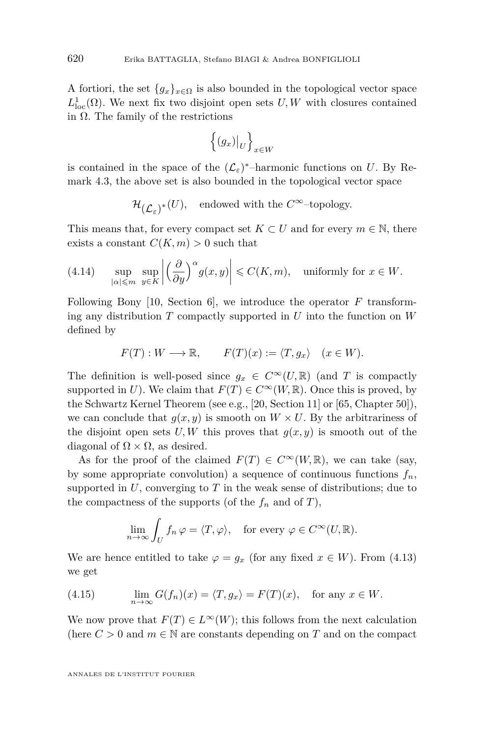A fortiori, the set  ${g_x}_{x \in \Omega}$  is also bounded in the topological vector space  $L^1_{loc}(\Omega)$ . We next fix two disjoint open sets  $U, W$  with closures contained in Ω. The family of the restrictions

$$
\left\{ (g_x)|_U \right\}_{x \in W}
$$

is contained in the space of the  $(\mathcal{L}_{\varepsilon})^*$ -harmonic functions on *U*. By Remark [4.3,](#page-31-0) the above set is also bounded in the topological vector space

$$
\mathcal{H}_{(\mathcal{L}_{\varepsilon})^*}(U), \quad \text{endowed with the } C^{\infty}\text{-topology}.
$$

This means that, for every compact set  $K \subset U$  and for every  $m \in \mathbb{N}$ , there exists a constant  $C(K, m) > 0$  such that

<span id="page-32-0"></span>(4.14) 
$$
\sup_{|\alpha| \leq m} \sup_{y \in K} \left| \left( \frac{\partial}{\partial y} \right)^{\alpha} g(x, y) \right| \leq C(K, m), \text{ uniformly for } x \in W.
$$

Following Bony [\[10,](#page-40-2) Section 6], we introduce the operator *F* transforming any distribution *T* compactly supported in *U* into the function on *W* defined by

$$
F(T): W \longrightarrow \mathbb{R}, \qquad F(T)(x) := \langle T, g_x \rangle \quad (x \in W).
$$

The definition is well-posed since  $g_x \in C^{\infty}(U,\mathbb{R})$  (and *T* is compactly supported in *U*). We claim that  $F(T) \in C^{\infty}(W, \mathbb{R})$ . Once this is proved, by the Schwartz Kernel Theorem (see e.g., [\[20,](#page-40-17) Section 11] or [\[65,](#page-42-21) Chapter 50]), we can conclude that  $g(x, y)$  is smooth on  $W \times U$ . By the arbitrariness of the disjoint open sets  $U, W$  this proves that  $g(x, y)$  is smooth out of the diagonal of  $\Omega \times \Omega$ , as desired.

As for the proof of the claimed  $F(T) \in C^{\infty}(W,\mathbb{R})$ , we can take (say, by some appropriate convolution) a sequence of continuous functions  $f_n$ , supported in *U*, converging to *T* in the weak sense of distributions; due to the compactness of the supports (of the  $f_n$  and of  $T$ ),

$$
\lim_{n \to \infty} \int_U f_n \, \varphi = \langle T, \varphi \rangle, \quad \text{for every } \varphi \in C^\infty(U, \mathbb{R}).
$$

We are hence entitled to take  $\varphi = g_x$  (for any fixed  $x \in W$ ). From [\(4.13\)](#page-31-2) we get

<span id="page-32-1"></span>(4.15) 
$$
\lim_{n \to \infty} G(f_n)(x) = \langle T, g_x \rangle = F(T)(x), \text{ for any } x \in W.
$$

We now prove that  $F(T) \in L^{\infty}(W)$ ; this follows from the next calculation (here  $C > 0$  and  $m \in \mathbb{N}$  are constants depending on *T* and on the compact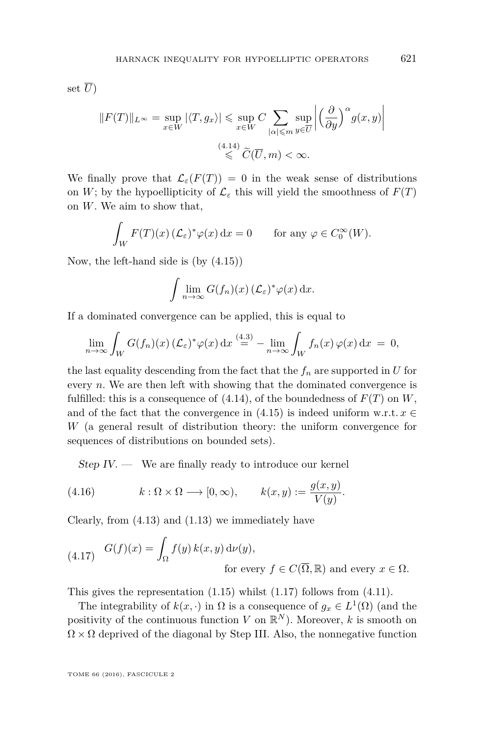set  $\overline{U}$ )

$$
||F(T)||_{L^{\infty}} = \sup_{x \in W} |\langle T, g_x \rangle| \le \sup_{x \in W} C \sum_{|\alpha| \le m} \sup_{y \in \overline{U}} \left| \left( \frac{\partial}{\partial y} \right)^{\alpha} g(x, y) \right|
$$
  

$$
\le C(\overline{U}, m) < \infty.
$$

We finally prove that  $\mathcal{L}_{\varepsilon}(F(T)) = 0$  in the weak sense of distributions on *W*; by the hypoellipticity of  $\mathcal{L}_{\varepsilon}$  this will yield the smoothness of  $F(T)$ on *W*. We aim to show that,

$$
\int_W F(T)(x) \left(\mathcal{L}_{\varepsilon}\right)^* \varphi(x) \, \mathrm{d}x = 0 \qquad \text{for any } \varphi \in C_0^{\infty}(W).
$$

Now, the left-hand side is (by [\(4.15\)](#page-32-1))

$$
\int \lim_{n \to \infty} G(f_n)(x) \left( \mathcal{L}_{\varepsilon} \right)^* \varphi(x) \, \mathrm{d} x.
$$

If a dominated convergence can be applied, this is equal to

$$
\lim_{n \to \infty} \int_W G(f_n)(x) \, (\mathcal{L}_{\varepsilon})^* \varphi(x) \, dx \stackrel{(4.3)}{=} - \lim_{n \to \infty} \int_W f_n(x) \, \varphi(x) \, dx = 0,
$$

the last equality descending from the fact that the  $f_n$  are supported in  $U$  for every *n*. We are then left with showing that the dominated convergence is fulfilled: this is a consequence of  $(4.14)$ , of the boundedness of  $F(T)$  on  $W$ , and of the fact that the convergence in  $(4.15)$  is indeed uniform w.r.t.  $x \in$ *W* (a general result of distribution theory: the uniform convergence for sequences of distributions on bounded sets).

<span id="page-33-1"></span> $Step IV.$  We are finally ready to introduce our kernel

(4.16) 
$$
k: \Omega \times \Omega \longrightarrow [0, \infty), \qquad k(x, y) := \frac{g(x, y)}{V(y)}.
$$

Clearly, from [\(4.13\)](#page-31-2) and [\(1.13\)](#page-14-0) we immediately have

<span id="page-33-0"></span>(4.17) 
$$
G(f)(x) = \int_{\Omega} f(y) k(x, y) d\nu(y),
$$
  
for every  $f \in C(\overline{\Omega}, \mathbb{R})$  and every  $x \in \Omega$ .

This gives the representation [\(1.15\)](#page-14-3) whilst [\(1.17\)](#page-15-1) follows from [\(4.11\)](#page-31-3).

The integrability of  $k(x, \cdot)$  in  $\Omega$  is a consequence of  $g_x \in L^1(\Omega)$  (and the positivity of the continuous function *V* on  $\mathbb{R}^N$ ). Moreover, *k* is smooth on  $\Omega \times \Omega$  deprived of the diagonal by Step III. Also, the nonnegative function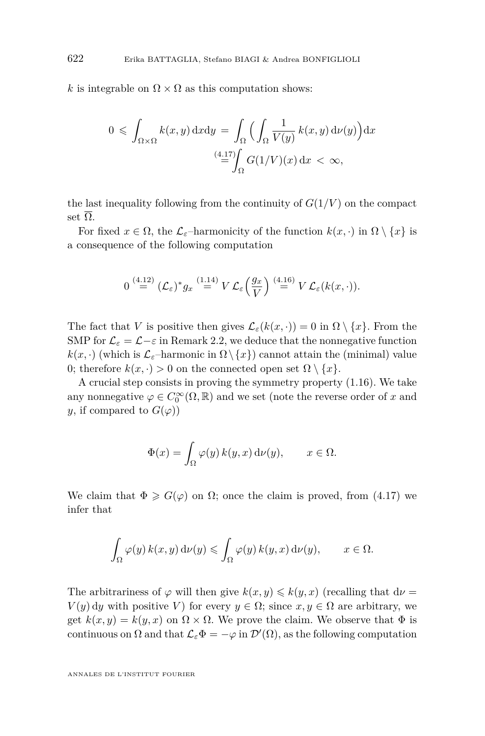*k* is integrable on  $\Omega \times \Omega$  as this computation shows:

$$
0 \leqslant \int_{\Omega \times \Omega} k(x, y) \, dx \, dy = \int_{\Omega} \Big( \int_{\Omega} \frac{1}{V(y)} \, k(x, y) \, d\nu(y) \Big) \, dx
$$
\n
$$
\stackrel{(4.17)}{=} \int_{\Omega} G(1/V)(x) \, dx < \infty,
$$

the last inequality following from the continuity of  $G(1/V)$  on the compact set  $\overline{\Omega}$ .

For fixed  $x \in \Omega$ , the  $\mathcal{L}_{\varepsilon}$ -harmonicity of the function  $k(x, \cdot)$  in  $\Omega \setminus \{x\}$  is a consequence of the following computation

$$
0 \stackrel{(4.12)}{=} (\mathcal{L}_{\varepsilon})^* g_x \stackrel{(1.14)}{=} V \mathcal{L}_{\varepsilon} \left( \frac{g_x}{V} \right) \stackrel{(4.16)}{=} V \mathcal{L}_{\varepsilon} (k(x, \cdot)).
$$

The fact that *V* is positive then gives  $\mathcal{L}_{\varepsilon}(k(x, \cdot)) = 0$  in  $\Omega \setminus \{x\}$ . From the SMP for  $\mathcal{L}_{\varepsilon} = \mathcal{L} - \varepsilon$  in Remark [2.2,](#page-23-1) we deduce that the nonnegative function  $k(x, \cdot)$  (which is  $\mathcal{L}_{\varepsilon}$ –harmonic in  $\Omega \setminus \{x\}$ ) cannot attain the (minimal) value 0; therefore  $k(x, \cdot) > 0$  on the connected open set  $\Omega \setminus \{x\}.$ 

A crucial step consists in proving the symmetry property [\(1.16\)](#page-15-0). We take any nonnegative  $\varphi \in C_0^{\infty}(\Omega, \mathbb{R})$  and we set (note the reverse order of *x* and *y*, if compared to  $G(\varphi)$ 

$$
\Phi(x) = \int_{\Omega} \varphi(y) \, k(y, x) \, \mathrm{d}\nu(y), \qquad x \in \Omega.
$$

We claim that  $\Phi \geq G(\varphi)$  on  $\Omega$ ; once the claim is proved, from [\(4.17\)](#page-33-0) we infer that

$$
\int_{\Omega} \varphi(y) \, k(x, y) \, \mathrm{d}\nu(y) \le \int_{\Omega} \varphi(y) \, k(y, x) \, \mathrm{d}\nu(y), \qquad x \in \Omega.
$$

The arbitrariness of  $\varphi$  will then give  $k(x, y) \leq k(y, x)$  (recalling that  $d\nu =$  $V(y)$  dy with positive *V*) for every  $y \in \Omega$ ; since  $x, y \in \Omega$  are arbitrary, we get  $k(x, y) = k(y, x)$  on  $\Omega \times \Omega$ . We prove the claim. We observe that  $\Phi$  is continuous on  $\Omega$  and that  $\mathcal{L}_{\varepsilon} \Phi = -\varphi$  in  $\mathcal{D}'(\Omega)$ , as the following computation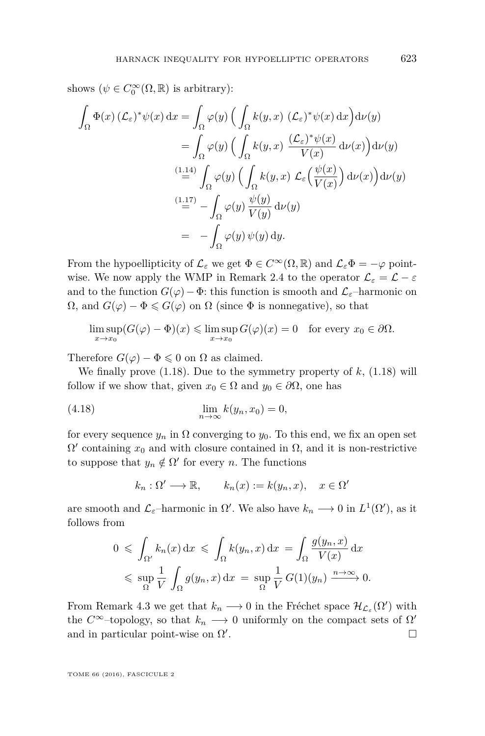shows  $(\psi \in C_0^{\infty}(\Omega, \mathbb{R})$  is arbitrary):

$$
\int_{\Omega} \Phi(x) \, (\mathcal{L}_{\varepsilon})^* \psi(x) \, dx = \int_{\Omega} \varphi(y) \left( \int_{\Omega} k(y, x) \, (\mathcal{L}_{\varepsilon})^* \psi(x) \, dx \right) d\nu(y)
$$
\n
$$
= \int_{\Omega} \varphi(y) \left( \int_{\Omega} k(y, x) \, \frac{(\mathcal{L}_{\varepsilon})^* \psi(x)}{V(x)} \, d\nu(x) \right) d\nu(y)
$$
\n
$$
\stackrel{(1.14)}{=} \int_{\Omega} \varphi(y) \left( \int_{\Omega} k(y, x) \, \mathcal{L}_{\varepsilon} \left( \frac{\psi(x)}{V(x)} \right) d\nu(x) \right) d\nu(y)
$$
\n
$$
\stackrel{(1.17)}{=} - \int_{\Omega} \varphi(y) \, \frac{\psi(y)}{V(y)} \, d\nu(y)
$$
\n
$$
= - \int_{\Omega} \varphi(y) \, \psi(y) \, dy.
$$

From the hypoellipticity of  $\mathcal{L}_{\varepsilon}$  we get  $\Phi \in C^{\infty}(\Omega,\mathbb{R})$  and  $\mathcal{L}_{\varepsilon}\Phi = -\varphi$  point-wise. We now apply the WMP in Remark [2.4](#page-25-1) to the operator  $\mathcal{L}_{\varepsilon} = \mathcal{L} - \varepsilon$ and to the function  $G(\varphi) - \Phi$ : this function is smooth and  $\mathcal{L}_{\varepsilon}$ –harmonic on  $\Omega$ , and  $G(\varphi) - \Phi \leq G(\varphi)$  on  $\Omega$  (since  $\Phi$  is nonnegative), so that

$$
\limsup_{x \to x_0} (G(\varphi) - \Phi)(x) \le \limsup_{x \to x_0} G(\varphi)(x) = 0 \quad \text{for every } x_0 \in \partial \Omega.
$$

Therefore  $G(\varphi) - \Phi \leq 0$  on  $\Omega$  as claimed.

We finally prove [\(1.18\)](#page-15-2). Due to the symmetry property of *k*, [\(1.18\)](#page-15-2) will follow if we show that, given  $x_0 \in \Omega$  and  $y_0 \in \partial\Omega$ , one has

$$
\lim_{n \to \infty} k(y_n, x_0) = 0,
$$

for every sequence  $y_n$  in  $\Omega$  converging to  $y_0$ . To this end, we fix an open set  $\Omega'$  containing  $x_0$  and with closure contained in  $\Omega$ , and it is non-restrictive to suppose that  $y_n \notin \Omega'$  for every *n*. The functions

$$
k_n : \Omega' \longrightarrow \mathbb{R}, \qquad k_n(x) := k(y_n, x), \quad x \in \Omega'
$$

are smooth and  $\mathcal{L}_{\varepsilon}$ -harmonic in  $\Omega'$ . We also have  $k_n \longrightarrow 0$  in  $L^1(\Omega')$ , as it follows from

$$
0 \leqslant \int_{\Omega'} k_n(x) dx \leqslant \int_{\Omega} k(y_n, x) dx = \int_{\Omega} \frac{g(y_n, x)}{V(x)} dx
$$
  

$$
\leqslant \sup_{\Omega} \frac{1}{V} \int_{\Omega} g(y_n, x) dx = \sup_{\Omega} \frac{1}{V} G(1)(y_n) \xrightarrow{n \to \infty} 0.
$$

From Remark [4.3](#page-31-0) we get that  $k_n \longrightarrow 0$  in the Fréchet space  $\mathcal{H}_{\mathcal{L}_{\varepsilon}}(\Omega')$  with the  $C^{\infty}$ -topology, so that  $k_n \longrightarrow 0$  uniformly on the compact sets of  $\Omega'$ and in particular point-wise on  $\Omega'$ . В последните последните последните под последните и се при последните под последните под последните под посл<br>В последните последните последните под последните под последните под последните под последните под последните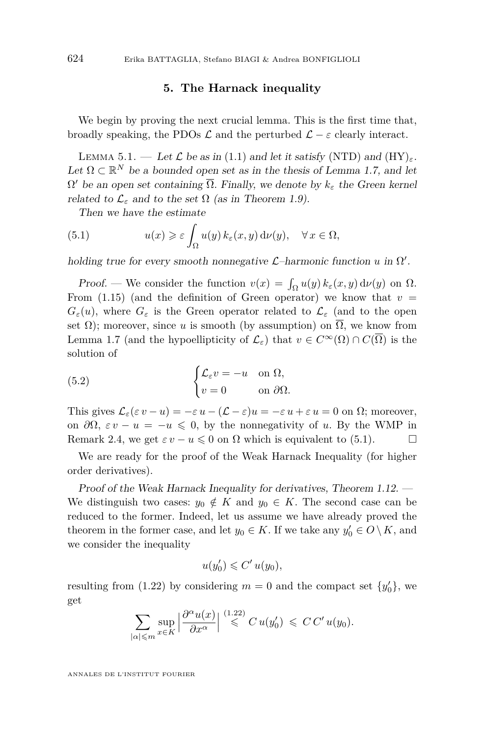#### **5. The Harnack inequality**

<span id="page-36-1"></span>We begin by proving the next crucial lemma. This is the first time that, broadly speaking, the PDOs  $\mathcal{L}$  and the perturbed  $\mathcal{L} - \varepsilon$  clearly interact.

<span id="page-36-0"></span>LEMMA 5.1. — Let  $\mathcal L$  be as in [\(1.1\)](#page-2-0) and let it satisfy (NTD) and  $(HY)_{\varepsilon}$ . Let  $\Omega \subset \mathbb{R}^N$  be a bounded open set as in the thesis of Lemma [1.7,](#page-13-1) and let  $Ω'$  be an open set containing  $\overline{Ω}$ . Finally, we denote by  $k_ε$  the Green kernel related to  $\mathcal{L}_{\varepsilon}$  and to the set  $\Omega$  (as in Theorem [1.9\)](#page-14-1).

<span id="page-36-2"></span>Then we have the estimate

(5.1) 
$$
u(x) \geqslant \varepsilon \int_{\Omega} u(y) k_{\varepsilon}(x, y) d\nu(y), \quad \forall x \in \Omega,
$$

holding true for every smooth nonnegative  $\mathcal{L}$ -harmonic function *u* in  $\Omega'$ .

Proof. — We consider the function  $v(x) = \int_{\Omega} u(y) k_{\varepsilon}(x, y) d\nu(y)$  on  $\Omega$ . From  $(1.15)$  (and the definition of Green operator) we know that  $v =$  $G_{\varepsilon}(u)$ , where  $G_{\varepsilon}$  is the Green operator related to  $\mathcal{L}_{\varepsilon}$  (and to the open set  $\Omega$ ); moreover, since *u* is smooth (by assumption) on  $\overline{\Omega}$ , we know from Lemma [1.7](#page-13-1) (and the hypoellipticity of  $\mathcal{L}_{\varepsilon}$ ) that  $v \in C^{\infty}(\Omega) \cap C(\overline{\Omega})$  is the solution of

(5.2) 
$$
\begin{cases} \mathcal{L}_{\varepsilon}v = -u & \text{on } \Omega, \\ v = 0 & \text{on } \partial\Omega. \end{cases}
$$

This gives  $\mathcal{L}_{\varepsilon}(\varepsilon v - u) = -\varepsilon u - (\mathcal{L} - \varepsilon)u = -\varepsilon u + \varepsilon u = 0$  on  $\Omega$ ; moreover, on  $\partial\Omega$ ,  $\varepsilon v - u = -u \leq 0$ , by the nonnegativity of *u*. By the WMP in Remark [2.4,](#page-25-1) we get  $\varepsilon v - u \leq 0$  on  $\Omega$  which is equivalent to [\(5.1\)](#page-36-2).

We are ready for the proof of the Weak Harnack Inequality (for higher order derivatives).

Proof of the Weak Harnack Inequality for derivatives, Theorem [1.12.](#page-18-0) — We distinguish two cases:  $y_0 \notin K$  and  $y_0 \in K$ . The second case can be reduced to the former. Indeed, let us assume we have already proved the theorem in the former case, and let  $y_0 \in K$ . If we take any  $y'_0 \in O \setminus K$ , and we consider the inequality

$$
u(y_0') \leqslant C' u(y_0),
$$

resulting from [\(1.22\)](#page-18-1) by considering  $m = 0$  and the compact set  $\{y'_0\}$ , we get

$$
\sum_{|\alpha| \leqslant m} \sup_{x \in K} \left| \frac{\partial^{\alpha} u(x)}{\partial x^{\alpha}} \right| \stackrel{(1.22)}{\leqslant} C u(y_0') \leqslant C C' u(y_0).
$$

ANNALES DE L'INSTITUT FOURIER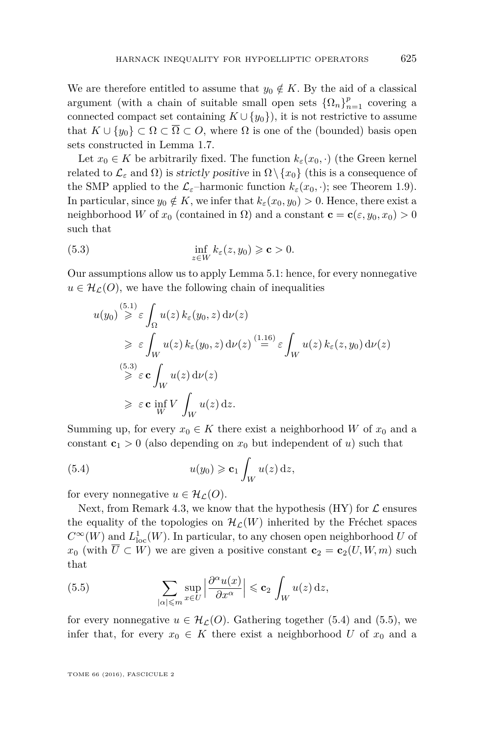We are therefore entitled to assume that  $y_0 \notin K$ . By the aid of a classical argument (with a chain of suitable small open sets  $\{\Omega_n\}_{n=1}^p$  covering a connected compact set containing  $K \cup \{y_0\}$ , it is not restrictive to assume that  $K \cup \{y_0\} \subset \Omega \subset \overline{\Omega} \subset O$ , where  $\Omega$  is one of the (bounded) basis open sets constructed in Lemma [1.7.](#page-13-1)

Let  $x_0 \in K$  be arbitrarily fixed. The function  $k_{\varepsilon}(x_0, \cdot)$  (the Green kernel related to  $\mathcal{L}_{\varepsilon}$  and  $\Omega$ ) is *strictly positive* in  $\Omega \setminus \{x_0\}$  (this is a consequence of the SMP applied to the  $\mathcal{L}_{\varepsilon}$ -harmonic function  $k_{\varepsilon}(x_0, \cdot)$ ; see Theorem [1.9\)](#page-14-1). In particular, since  $y_0 \notin K$ , we infer that  $k_\varepsilon(x_0, y_0) > 0$ . Hence, there exist a neighborhood *W* of  $x_0$  (contained in  $\Omega$ ) and a constant  $\mathbf{c} = \mathbf{c}(\varepsilon, y_0, x_0) > 0$ such that

(5.3) 
$$
\inf_{z \in W} k_{\varepsilon}(z, y_0) \geqslant \mathbf{c} > 0.
$$

Our assumptions allow us to apply Lemma [5.1:](#page-36-0) hence, for every nonnegative  $u \in \mathcal{H}_{\mathcal{L}}(O)$ , we have the following chain of inequalities

<span id="page-37-0"></span>
$$
u(y_0) \overset{(5.1)}{\geq} \varepsilon \int_{\Omega} u(z) k_{\varepsilon}(y_0, z) d\nu(z)
$$
  
\n
$$
\geq \varepsilon \int_{W} u(z) k_{\varepsilon}(y_0, z) d\nu(z) \overset{(1.16)}{=} \varepsilon \int_{W} u(z) k_{\varepsilon}(z, y_0) d\nu(z)
$$
  
\n
$$
\geq \varepsilon \mathbf{c} \int_{W} u(z) d\nu(z)
$$
  
\n
$$
\geq \varepsilon \mathbf{c} \inf_{W} V \int_{W} u(z) dz.
$$

Summing up, for every  $x_0 \in K$  there exist a neighborhood *W* of  $x_0$  and a constant  $c_1 > 0$  (also depending on  $x_0$  but independent of *u*) such that

<span id="page-37-1"></span>(5.4) 
$$
u(y_0) \geqslant \mathbf{c}_1 \int_W u(z) dz,
$$

for every nonnegative  $u \in \mathcal{H}_{\mathcal{L}}(O)$ .

Next, from Remark [4.3,](#page-31-0) we know that the hypothesis (HY) for  $\mathcal L$  ensures the equality of the topologies on  $\mathcal{H}_\mathcal{L}(W)$  inherited by the Fréchet spaces  $C^{\infty}(W)$  and  $L^1_{loc}(W)$ . In particular, to any chosen open neighborhood *U* of *x*<sub>0</sub> (with  $\overline{U} \subset W$ ) we are given a positive constant  $\mathbf{c}_2 = \mathbf{c}_2(U, W, m)$  such that

<span id="page-37-2"></span>(5.5) 
$$
\sum_{|\alpha| \leqslant m} \sup_{x \in U} \left| \frac{\partial^{\alpha} u(x)}{\partial x^{\alpha}} \right| \leqslant c_2 \int_W u(z) dz,
$$

for every nonnegative  $u \in \mathcal{H}_{\mathcal{L}}(O)$ . Gathering together [\(5.4\)](#page-37-1) and [\(5.5\)](#page-37-2), we infer that, for every  $x_0 \in K$  there exist a neighborhood U of  $x_0$  and a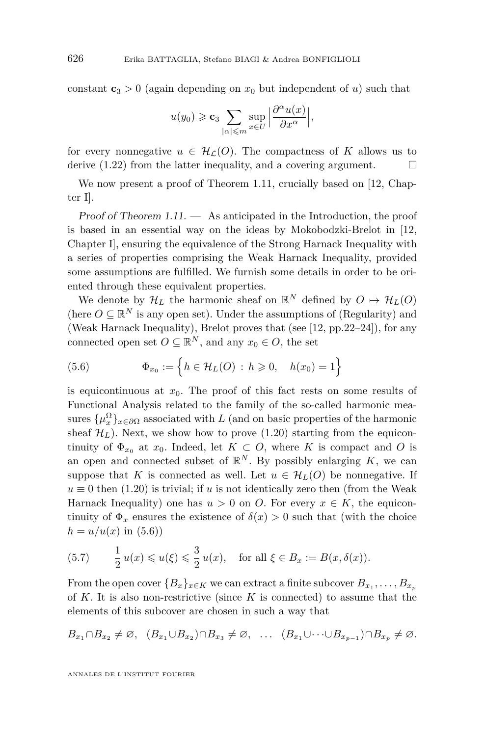constant  $c_3 > 0$  (again depending on  $x_0$  but independent of *u*) such that

$$
u(y_0) \geqslant \mathbf{c}_3 \sum_{|\alpha| \leqslant m} \sup_{x \in U} \Big| \frac{\partial^{\alpha} u(x)}{\partial x^{\alpha}} \Big|,
$$

for every nonnegative  $u \in \mathcal{H}_c(O)$ . The compactness of K allows us to derive [\(1.22\)](#page-18-1) from the latter inequality, and a covering argument.  $\Box$ 

We now present a proof of Theorem [1.11,](#page-16-2) crucially based on [\[12,](#page-40-14) Chapter I].

Proof of Theorem [1.11.](#page-16-2) — As anticipated in the Introduction, the proof is based in an essential way on the ideas by Mokobodzki-Brelot in [\[12,](#page-40-14) Chapter I], ensuring the equivalence of the Strong Harnack Inequality with a series of properties comprising the Weak Harnack Inequality, provided some assumptions are fulfilled. We furnish some details in order to be oriented through these equivalent properties.

We denote by  $\mathcal{H}_L$  the harmonic sheaf on  $\mathbb{R}^N$  defined by  $O \mapsto \mathcal{H}_L(O)$ (here  $O \subseteq \mathbb{R}^N$  is any open set). Under the assumptions of (Regularity) and (Weak Harnack Inequality), Brelot proves that (see [\[12,](#page-40-14) pp.22–24]), for any connected open set  $O \subseteq \mathbb{R}^N$ , and any  $x_0 \in O$ , the set

<span id="page-38-0"></span>(5.6) 
$$
\Phi_{x_0} := \left\{ h \in \mathcal{H}_L(O) : h \geq 0, \quad h(x_0) = 1 \right\}
$$

is equicontinuous at  $x_0$ . The proof of this fact rests on some results of Functional Analysis related to the family of the so-called harmonic measures  $\{\mu_x^{\Omega}\}_{x \in \partial \Omega}$  associated with *L* (and on basic properties of the harmonic sheaf  $\mathcal{H}_L$ ). Next, we show how to prove [\(1.20\)](#page-17-1) starting from the equicontinuity of  $\Phi_{x_0}$  at  $x_0$ . Indeed, let  $K \subset O$ , where  $K$  is compact and  $O$  is an open and connected subset of  $\mathbb{R}^N$ . By possibly enlarging K, we can suppose that *K* is connected as well. Let  $u \in \mathcal{H}_L(O)$  be nonnegative. If  $u \equiv 0$  then [\(1.20\)](#page-17-1) is trivial; if *u* is not identically zero then (from the Weak Harnack Inequality) one has  $u > 0$  on *O*. For every  $x \in K$ , the equicontinuity of  $\Phi_x$  ensures the existence of  $\delta(x) > 0$  such that (with the choice  $h = u/u(x)$  in [\(5.6\)](#page-38-0))

<span id="page-38-1"></span>(5.7) 
$$
\frac{1}{2}u(x) \leq u(\xi) \leq \frac{3}{2}u(x)
$$
, for all  $\xi \in B_x := B(x, \delta(x))$ .

From the open cover  $\{B_x\}_{x \in K}$  we can extract a finite subcover  $B_{x_1}, \ldots, B_{x_p}$ of *K*. It is also non-restrictive (since *K* is connected) to assume that the elements of this subcover are chosen in such a way that

$$
B_{x_1} \cap B_{x_2} \neq \emptyset, \ \ (B_{x_1} \cup B_{x_2}) \cap B_{x_3} \neq \emptyset, \ \ \ldots \ \ (B_{x_1} \cup \cdots \cup B_{x_{p-1}}) \cap B_{x_p} \neq \emptyset.
$$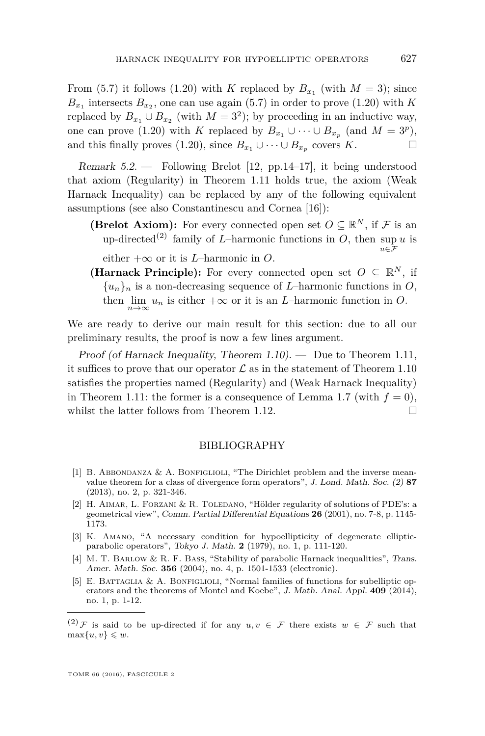From [\(5.7\)](#page-38-1) it follows [\(1.20\)](#page-17-1) with *K* replaced by  $B_{x_1}$  (with  $M = 3$ ); since  $B_{x_1}$  intersects  $B_{x_2}$ , one can use again [\(5.7\)](#page-38-1) in order to prove [\(1.20\)](#page-17-1) with *K* replaced by  $B_{x_1} \cup B_{x_2}$  (with  $M = 3^2$ ); by proceeding in an inductive way, one can prove [\(1.20\)](#page-17-1) with *K* replaced by  $B_{x_1} \cup \cdots \cup B_{x_p}$  (and  $M = 3^p$ ), and this finally proves [\(1.20\)](#page-17-1), since  $B_{x_1} \cup \cdots \cup B_{x_p}$  covers *K*.

<span id="page-39-5"></span>Remark 5.2. — Following Brelot [\[12,](#page-40-14) pp.14–17], it being understood that axiom (Regularity) in Theorem [1.11](#page-16-2) holds true, the axiom (Weak Harnack Inequality) can be replaced by any of the following equivalent assumptions (see also Constantinescu and Cornea [\[16\]](#page-40-18)):

- **(Brelot Axiom):** For every connected open set  $O \subseteq \mathbb{R}^N$ , if F is an up-directed<sup>(2)</sup> family of *L*-harmonic functions in *O*, then sup *u* is *u*∈F
	- either  $+\infty$  or it is *L*–harmonic in *O*.
- **(Harnack Principle):** For every connected open set  $O \subseteq \mathbb{R}^N$ , if  ${u_n}_n$  is a non-decreasing sequence of *L*–harmonic functions in *O*, then  $\lim_{n\to\infty} u_n$  is either  $+\infty$  or it is an *L*–harmonic function in *O*.

We are ready to derive our main result for this section: due to all our preliminary results, the proof is now a few lines argument.

Proof (of Harnack Inequality, Theorem  $1.10$ ). — Due to Theorem [1.11,](#page-16-2) it suffices to prove that our operator  $\mathcal L$  as in the statement of Theorem [1.10](#page-16-0) satisfies the properties named (Regularity) and (Weak Harnack Inequality) in Theorem [1.11:](#page-16-2) the former is a consequence of Lemma [1.7](#page-13-1) (with  $f = 0$ ), whilst the latter follows from Theorem [1.12.](#page-18-0)  $\Box$ 

#### BIBLIOGRAPHY

- <span id="page-39-0"></span>[1] B. ABBONDANZA  $&$  A. BONFIGLIOLI, "The Dirichlet problem and the inverse meanvalue theorem for a class of divergence form operators", J. Lond. Math. Soc. (2) **87** (2013), no. 2, p. 321-346.
- <span id="page-39-2"></span>[2] H. AIMAR, L. FORZANI & R. TOLEDANO, "Hölder regularity of solutions of PDE's: a geometrical view", Comm. Partial Differential Equations **26** (2001), no. 7-8, p. 1145- 1173.
- <span id="page-39-4"></span>[3] K. Amano, "A necessary condition for hypoellipticity of degenerate ellipticparabolic operators", Tokyo J. Math. **2** (1979), no. 1, p. 111-120.
- <span id="page-39-3"></span>[4] M. T. Barlow & R. F. Bass, "Stability of parabolic Harnack inequalities", Trans. Amer. Math. Soc. **356** (2004), no. 4, p. 1501-1533 (electronic).
- <span id="page-39-1"></span>[5] E. BATTAGLIA & A. BONFIGLIOLI, "Normal families of functions for subelliptic operators and the theorems of Montel and Koebe", J. Math. Anal. Appl. **409** (2014), no. 1, p. 1-12.

<sup>(2)</sup> F is said to be up-directed if for any  $u, v \in \mathcal{F}$  there exists  $w \in \mathcal{F}$  such that  $\max\{u, v\} \leqslant w$ .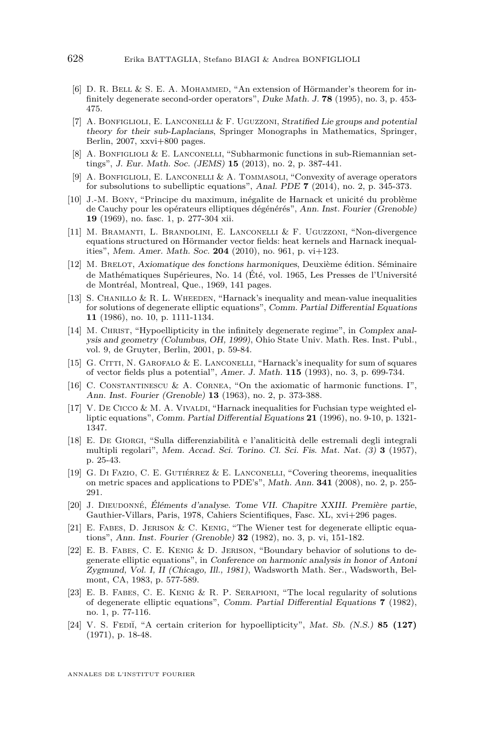- <span id="page-40-15"></span>[6] D. R. BELL & S. E. A. MOHAMMED, "An extension of Hörmander's theorem for infinitely degenerate second-order operators", Duke Math. J. **78** (1995), no. 3, p. 453- 475.
- <span id="page-40-0"></span>[7] A. BONFIGLIOLI, E. LANCONELLI & F. UGUZZONI, Stratified Lie groups and potential theory for their sub-Laplacians, Springer Monographs in Mathematics, Springer, Berlin, 2007, xxvi+800 pages.
- <span id="page-40-8"></span>[8] A. BONFIGLIOLI & E. LANCONELLI, "Subharmonic functions in sub-Riemannian settings", J. Eur. Math. Soc. (JEMS) **15** (2013), no. 2, p. 387-441.
- <span id="page-40-9"></span>[9] A. Bonfiglioli, E. Lanconelli & A. Tommasoli, "Convexity of average operators for subsolutions to subelliptic equations", Anal. PDE **7** (2014), no. 2, p. 345-373.
- <span id="page-40-2"></span>[10] J.-M. Bony, "Principe du maximum, inégalite de Harnack et unicité du problème de Cauchy pour les opérateurs elliptiques dégénérés", Ann. Inst. Fourier (Grenoble) **19** (1969), no. fasc. 1, p. 277-304 xii.
- <span id="page-40-11"></span>[11] M. Bramanti, L. Brandolini, E. Lanconelli & F. Uguzzoni, "Non-divergence equations structured on Hörmander vector fields: heat kernels and Harnack inequalities", Mem. Amer. Math. Soc. **204** (2010), no. 961, p. vi+123.
- <span id="page-40-14"></span>[12] M. Brelot, Axiomatique des fonctions harmoniques, Deuxième édition. Séminaire de Mathématiques Supérieures, No. 14 (Été, vol. 1965, Les Presses de l'Université de Montréal, Montreal, Que., 1969, 141 pages.
- <span id="page-40-3"></span>[13] S. CHANILLO  $\&$  R. L. WHEEDEN, "Harnack's inequality and mean-value inequalities for solutions of degenerate elliptic equations", Comm. Partial Differential Equations **11** (1986), no. 10, p. 1111-1134.
- <span id="page-40-16"></span>[14] M. CHRIST, "Hypoellipticity in the infinitely degenerate regime", in Complex analysis and geometry (Columbus, OH, 1999), Ohio State Univ. Math. Res. Inst. Publ., vol. 9, de Gruyter, Berlin, 2001, p. 59-84.
- <span id="page-40-10"></span>[15] G. Citti, N. Garofalo & E. Lanconelli, "Harnack's inequality for sum of squares of vector fields plus a potential", Amer. J. Math. **115** (1993), no. 3, p. 699-734.
- <span id="page-40-18"></span>[16] C. Constantinescu & A. Cornea, "On the axiomatic of harmonic functions. I", Ann. Inst. Fourier (Grenoble) **13** (1963), no. 2, p. 373-388.
- <span id="page-40-7"></span>[17] V. DE CICCO & M. A. VIVALDI, "Harnack inequalities for Fuchsian type weighted elliptic equations", Comm. Partial Differential Equations **21** (1996), no. 9-10, p. 1321- 1347.
- <span id="page-40-1"></span>[18] E. De Giorgi, "Sulla differenziabilità e l'analiticità delle estremali degli integrali multipli regolari", Mem. Accad. Sci. Torino. Cl. Sci. Fis. Mat. Nat. (3) **3** (1957), p. 25-43.
- <span id="page-40-12"></span>[19] G. Di Fazio, C. E. Gutiérrez & E. Lanconelli, "Covering theorems, inequalities on metric spaces and applications to PDE's", Math. Ann. **341** (2008), no. 2, p. 255- 291.
- <span id="page-40-17"></span>[20] J. Dieudonné, Éléments d'analyse. Tome VII. Chapitre XXIII. Première partie, Gauthier-Villars, Paris, 1978, Cahiers Scientifiques, Fasc. XL, xvi+296 pages.
- <span id="page-40-4"></span>[21] E. Fabes, D. Jerison & C. Kenig, "The Wiener test for degenerate elliptic equations", Ann. Inst. Fourier (Grenoble) **32** (1982), no. 3, p. vi, 151-182.
- <span id="page-40-5"></span>[22] E. B. Fabes, C. E. Kenig & D. Jerison, "Boundary behavior of solutions to degenerate elliptic equations", in Conference on harmonic analysis in honor of Antoni Zygmund, Vol. I, II (Chicago, Ill., 1981), Wadsworth Math. Ser., Wadsworth, Belmont, CA, 1983, p. 577-589.
- <span id="page-40-6"></span>[23] E. B. Fabes, C. E. Kenig & R. P. Serapioni, "The local regularity of solutions of degenerate elliptic equations", Comm. Partial Differential Equations **7** (1982), no. 1, p. 77-116.
- <span id="page-40-13"></span>[24] V. S. Febii, "A certain criterion for hypoellipticity", Mat. Sb. (N.S.) **85 (127)** (1971), p. 18-48.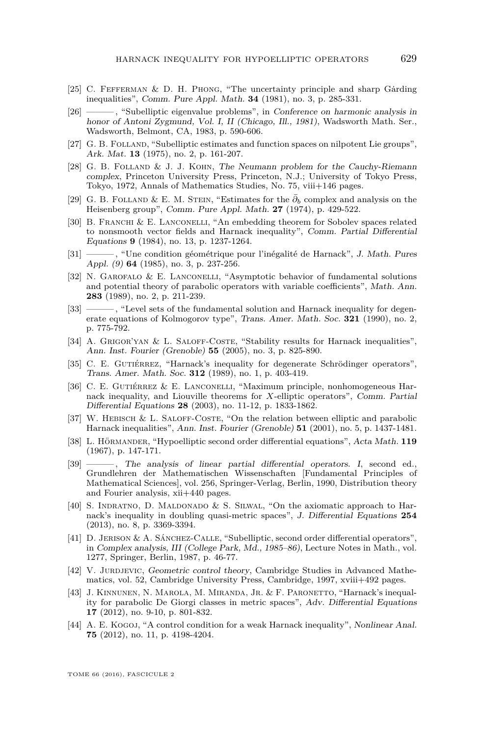- <span id="page-41-17"></span>[25] C. FEFFERMAN & D. H. PHONG, "The uncertainty principle and sharp Garding inequalities", Comm. Pure Appl. Math. **34** (1981), no. 3, p. 285-331.
- <span id="page-41-16"></span>[26] ——— , "Subelliptic eigenvalue problems", in Conference on harmonic analysis in honor of Antoni Zygmund, Vol. I, II (Chicago, Ill., 1981), Wadsworth Math. Ser., Wadsworth, Belmont, CA, 1983, p. 590-606.
- <span id="page-41-3"></span>[27] G. B. Folland, "Subelliptic estimates and function spaces on nilpotent Lie groups", Ark. Mat. **13** (1975), no. 2, p. 161-207.
- <span id="page-41-0"></span>[28] G. B. Folland & J. J. Kohn, The Neumann problem for the Cauchy-Riemann complex, Princeton University Press, Princeton, N.J.; University of Tokyo Press, Tokyo, 1972, Annals of Mathematics Studies, No. 75, viii+146 pages.
- <span id="page-41-1"></span>[29] G. B. FOLLAND & E. M. STEIN, "Estimates for the  $\bar{\partial}_b$  complex and analysis on the Heisenberg group", Comm. Pure Appl. Math. **27** (1974), p. 429-522.
- <span id="page-41-5"></span>[30] B. FRANCHI & E. LANCONELLI, "An embedding theorem for Sobolev spaces related to nonsmooth vector fields and Harnack inequality", Comm. Partial Differential Equations **9** (1984), no. 13, p. 1237-1264.
- <span id="page-41-6"></span>[31] ——— , "Une condition géométrique pour l'inégalité de Harnack", J. Math. Pures Appl. (9) **64** (1985), no. 3, p. 237-256.
- <span id="page-41-9"></span>[32] N. Garofalo & E. Lanconelli, "Asymptotic behavior of fundamental solutions and potential theory of parabolic operators with variable coefficients", Math. Ann. **283** (1989), no. 2, p. 211-239.
- <span id="page-41-10"></span>[33] ——— , "Level sets of the fundamental solution and Harnack inequality for degenerate equations of Kolmogorov type", Trans. Amer. Math. Soc. **321** (1990), no. 2, p. 775-792.
- <span id="page-41-11"></span>[34] A. GRIGOR'YAN & L. SALOFF-COSTE, "Stability results for Harnack inequalities", Ann. Inst. Fourier (Grenoble) **55** (2005), no. 3, p. 825-890.
- <span id="page-41-7"></span>[35] C. E. GUTIÉRREZ, "Harnack's inequality for degenerate Schrödinger operators", Trans. Amer. Math. Soc. **312** (1989), no. 1, p. 403-419.
- <span id="page-41-12"></span>[36] C. E. Gutiérrez & E. Lanconelli, "Maximum principle, nonhomogeneous Harnack inequality, and Liouville theorems for *X*-elliptic operators", Comm. Partial Differential Equations **28** (2003), no. 11-12, p. 1833-1862.
- <span id="page-41-13"></span>[37] W. Hebisch & L. Saloff-Coste, "On the relation between elliptic and parabolic Harnack inequalities", Ann. Inst. Fourier (Grenoble) **51** (2001), no. 5, p. 1437-1481.
- <span id="page-41-4"></span>[38] L. Hörmander, "Hypoelliptic second order differential equations", Acta Math. **119** (1967), p. 147-171.
- <span id="page-41-19"></span>[39] ——— , The analysis of linear partial differential operators. I, second ed., Grundlehren der Mathematischen Wissenschaften [Fundamental Principles of Mathematical Sciences], vol. 256, Springer-Verlag, Berlin, 1990, Distribution theory and Fourier analysis, xii+440 pages.
- <span id="page-41-14"></span>[40] S. INDRATNO, D. MALDONADO & S. SILWAL, "On the axiomatic approach to Harnack's inequality in doubling quasi-metric spaces", J. Differential Equations **254** (2013), no. 8, p. 3369-3394.
- <span id="page-41-2"></span>[41] D. Jerison & A. Sánchez-Calle, "Subelliptic, second order differential operators", in Complex analysis, III (College Park, Md., 1985–86), Lecture Notes in Math., vol. 1277, Springer, Berlin, 1987, p. 46-77.
- <span id="page-41-18"></span>[42] V. JURDJEVIC, Geometric control theory, Cambridge Studies in Advanced Mathematics, vol. 52, Cambridge University Press, Cambridge, 1997, xviii+492 pages.
- <span id="page-41-15"></span>[43] J. Kinnunen, N. Marola, M. Miranda, Jr. & F. Paronetto, "Harnack's inequality for parabolic De Giorgi classes in metric spaces", Adv. Differential Equations **17** (2012), no. 9-10, p. 801-832.
- <span id="page-41-8"></span>[44] A. E. Kogoj, "A control condition for a weak Harnack inequality", Nonlinear Anal. **75** (2012), no. 11, p. 4198-4204.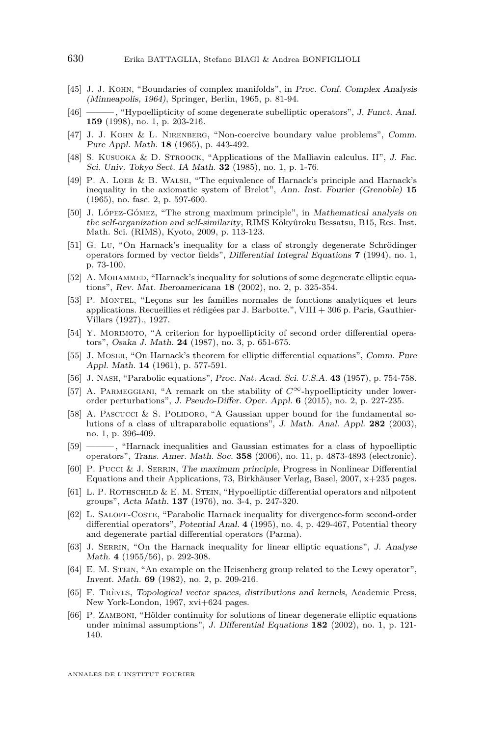- <span id="page-42-0"></span>[45] J. J. Kohn, "Boundaries of complex manifolds", in Proc. Conf. Complex Analysis (Minneapolis, 1964), Springer, Berlin, 1965, p. 81-94.
- <span id="page-42-11"></span>[46] ——— , "Hypoellipticity of some degenerate subelliptic operators", J. Funct. Anal. **159** (1998), no. 1, p. 203-216.
- <span id="page-42-15"></span>[47] J. J. KOHN & L. NIRENBERG, "Non-coercive boundary value problems", Comm. Pure Appl. Math. **18** (1965), p. 443-492.
- <span id="page-42-12"></span>[48] S. KUSUOKA & D. STROOCK, "Applications of the Malliavin calculus. II", J. Fac. Sci. Univ. Tokyo Sect. IA Math. **32** (1985), no. 1, p. 1-76.
- <span id="page-42-18"></span> $[49]$  P. A. LOEB & B. WALSH, "The equivalence of Harnack's principle and Harnack's inequality in the axiomatic system of Brelot", Ann. Inst. Fourier (Grenoble) **15** (1965), no. fasc. 2, p. 597-600.
- <span id="page-42-20"></span>[50] J. López-Gómez, "The strong maximum principle", in Mathematical analysis on the self-organization and self-similarity, RIMS Kôkyûroku Bessatsu, B15, Res. Inst. Math. Sci. (RIMS), Kyoto, 2009, p. 113-123.
- <span id="page-42-5"></span>[51] G. Lu, "On Harnack's inequality for a class of strongly degenerate Schrödinger operators formed by vector fields", Differential Integral Equations **7** (1994), no. 1, p. 73-100.
- <span id="page-42-9"></span>[52] A. MOHAMMED, "Harnack's inequality for solutions of some degenerate elliptic equations", Rev. Mat. Iberoamericana **18** (2002), no. 2, p. 325-354.
- <span id="page-42-19"></span>[53] P. Montel, "Leçons sur les familles normales de fonctions analytiques et leurs applications. Recueillies et rédigées par J. Barbotte.", VIII + 306 p. Paris, Gauthier-Villars (1927)., 1927.
- <span id="page-42-13"></span>[54] Y. MORIMOTO, "A criterion for hypoellipticity of second order differential operators", Osaka J. Math. **24** (1987), no. 3, p. 651-675.
- <span id="page-42-2"></span>[55] J. Moser, "On Harnack's theorem for elliptic differential equations", Comm. Pure Appl. Math. **14** (1961), p. 577-591.
- <span id="page-42-3"></span>[56] J. Nash, "Parabolic equations", Proc. Nat. Acad. Sci. U.S.A. **43** (1957), p. 754-758.
- <span id="page-42-17"></span>[57] A. Parmeggiani, "A remark on the stability of *C*∞-hypoellipticity under lowerorder perturbations", J. Pseudo-Differ. Oper. Appl. **6** (2015), no. 2, p. 227-235.
- <span id="page-42-7"></span>[58] A. PASCUCCI & S. POLIDORO, "A Gaussian upper bound for the fundamental solutions of a class of ultraparabolic equations", J. Math. Anal. Appl. **282** (2003), no. 1, p. 396-409.
- <span id="page-42-8"></span>[59] ——— , "Harnack inequalities and Gaussian estimates for a class of hypoelliptic operators", Trans. Amer. Math. Soc. **358** (2006), no. 11, p. 4873-4893 (electronic).
- <span id="page-42-14"></span>[60] P. Pucci & J. Serrin, The maximum principle, Progress in Nonlinear Differential Equations and their Applications, 73, Birkhäuser Verlag, Basel, 2007, x+235 pages.
- <span id="page-42-1"></span>[61] L. P. ROTHSCHILD & E. M. STEIN, "Hypoelliptic differential operators and nilpotent groups", Acta Math. **137** (1976), no. 3-4, p. 247-320.
- <span id="page-42-10"></span>[62] L. Saloff-Coste, "Parabolic Harnack inequality for divergence-form second-order differential operators", Potential Anal. **4** (1995), no. 4, p. 429-467, Potential theory and degenerate partial differential operators (Parma).
- <span id="page-42-4"></span>[63] J. SERRIN, "On the Harnack inequality for linear elliptic equations", J. Analyse Math. **4** (1955/56), p. 292-308.
- <span id="page-42-16"></span>[64] E. M. Stein, "An example on the Heisenberg group related to the Lewy operator", Invent. Math. **69** (1982), no. 2, p. 209-216.
- <span id="page-42-21"></span>[65] F. Trèves, Topological vector spaces, distributions and kernels, Academic Press, New York-London, 1967, xvi+624 pages.
- <span id="page-42-6"></span>[66] P. ZAMBONI, "Hölder continuity for solutions of linear degenerate elliptic equations under minimal assumptions", J. Differential Equations **182** (2002), no. 1, p. 121- 140.